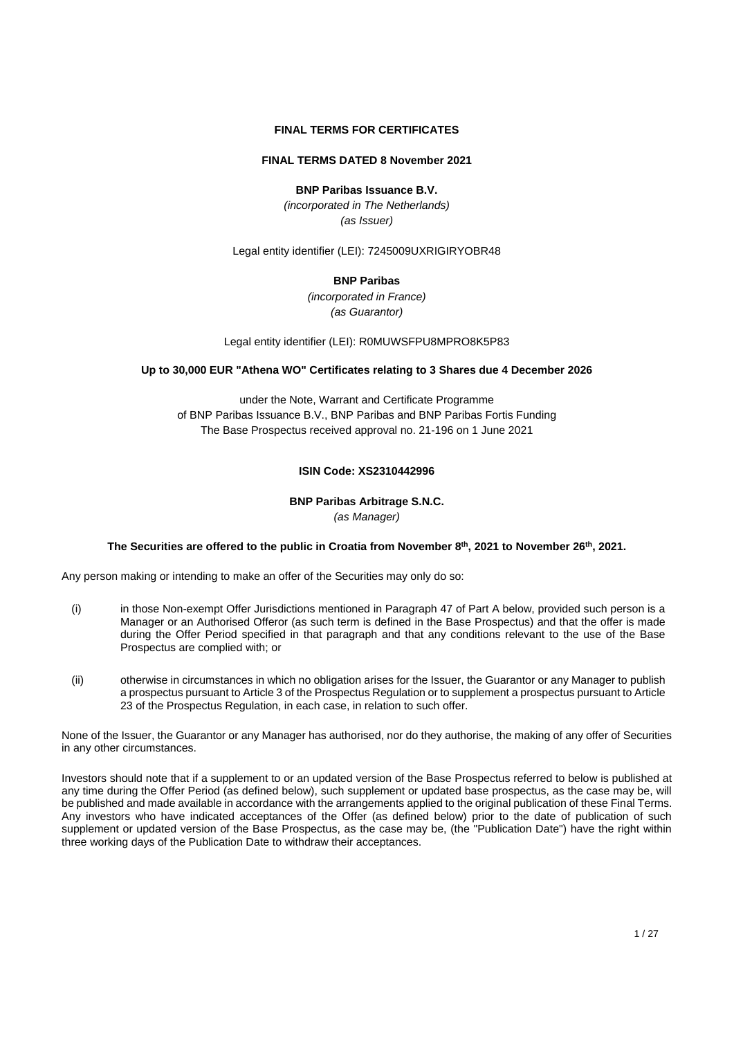# **FINAL TERMS FOR CERTIFICATES**

## **FINAL TERMS DATED 8 November 2021**

**BNP Paribas Issuance B.V.**

*(incorporated in The Netherlands) (as Issuer)*

Legal entity identifier (LEI): 7245009UXRIGIRYOBR48

## **BNP Paribas**

*(incorporated in France) (as Guarantor)*

Legal entity identifier (LEI): R0MUWSFPU8MPRO8K5P83

## **Up to 30,000 EUR "Athena WO" Certificates relating to 3 Shares due 4 December 2026**

under the Note, Warrant and Certificate Programme of BNP Paribas Issuance B.V., BNP Paribas and BNP Paribas Fortis Funding The Base Prospectus received approval no. 21-196 on 1 June 2021

## **ISIN Code: XS2310442996**

## **BNP Paribas Arbitrage S.N.C.** *(as Manager)*

## **The Securities are offered to the public in Croatia from November 8th , 2021 to November 26th , 2021.**

Any person making or intending to make an offer of the Securities may only do so:

- (i) in those Non-exempt Offer Jurisdictions mentioned in Paragraph 47 of Part A below, provided such person is a Manager or an Authorised Offeror (as such term is defined in the Base Prospectus) and that the offer is made during the Offer Period specified in that paragraph and that any conditions relevant to the use of the Base Prospectus are complied with; or
- (ii) otherwise in circumstances in which no obligation arises for the Issuer, the Guarantor or any Manager to publish a prospectus pursuant to Article 3 of the Prospectus Regulation or to supplement a prospectus pursuant to Article 23 of the Prospectus Regulation, in each case, in relation to such offer.

None of the Issuer, the Guarantor or any Manager has authorised, nor do they authorise, the making of any offer of Securities in any other circumstances.

Investors should note that if a supplement to or an updated version of the Base Prospectus referred to below is published at any time during the Offer Period (as defined below), such supplement or updated base prospectus, as the case may be, will be published and made available in accordance with the arrangements applied to the original publication of these Final Terms. Any investors who have indicated acceptances of the Offer (as defined below) prior to the date of publication of such supplement or updated version of the Base Prospectus, as the case may be, (the "Publication Date") have the right within three working days of the Publication Date to withdraw their acceptances.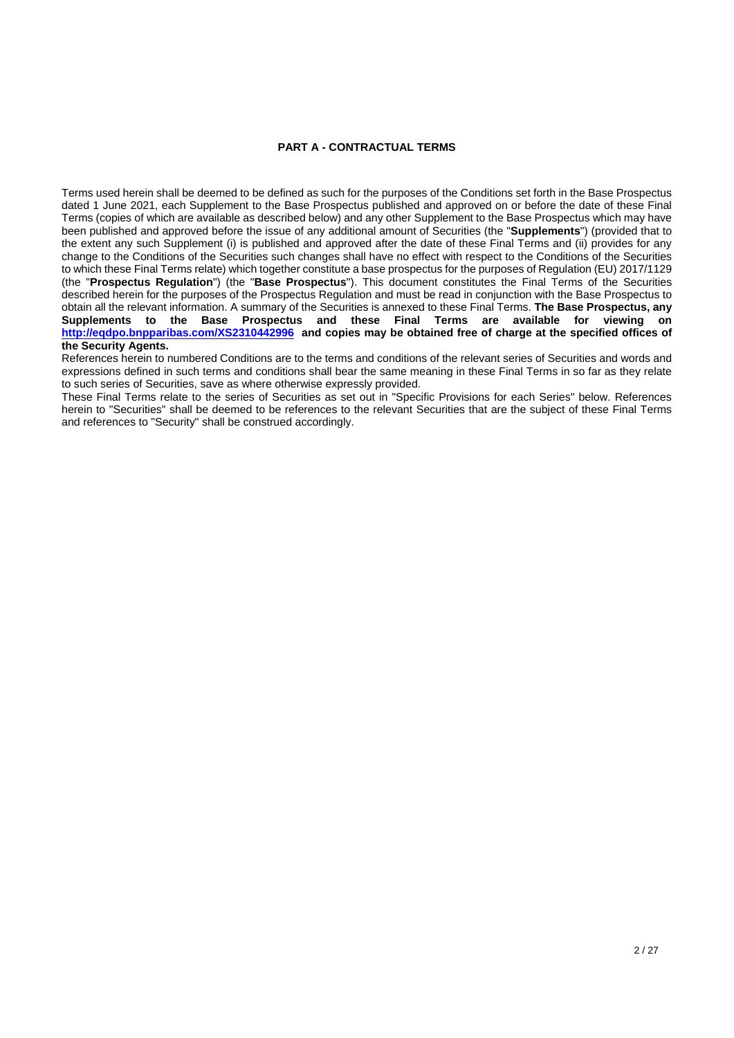## **PART A - CONTRACTUAL TERMS**

Terms used herein shall be deemed to be defined as such for the purposes of the Conditions set forth in the Base Prospectus dated 1 June 2021, each Supplement to the Base Prospectus published and approved on or before the date of these Final Terms (copies of which are available as described below) and any other Supplement to the Base Prospectus which may have been published and approved before the issue of any additional amount of Securities (the "**Supplements**") (provided that to the extent any such Supplement (i) is published and approved after the date of these Final Terms and (ii) provides for any change to the Conditions of the Securities such changes shall have no effect with respect to the Conditions of the Securities to which these Final Terms relate) which together constitute a base prospectus for the purposes of Regulation (EU) 2017/1129 (the "**Prospectus Regulation**") (the "**Base Prospectus**"). This document constitutes the Final Terms of the Securities described herein for the purposes of the Prospectus Regulation and must be read in conjunction with the Base Prospectus to obtain all the relevant information. A summary of the Securities is annexed to these Final Terms. **The Base Prospectus, any Supplements to the Base Prospectus and these Final Terms are available for viewing on <http://eqdpo.bnpparibas.com/XS2310442996>and copies may be obtained free of charge at the specified offices of the Security Agents.** 

References herein to numbered Conditions are to the terms and conditions of the relevant series of Securities and words and expressions defined in such terms and conditions shall bear the same meaning in these Final Terms in so far as they relate to such series of Securities, save as where otherwise expressly provided.

These Final Terms relate to the series of Securities as set out in "Specific Provisions for each Series" below. References herein to "Securities" shall be deemed to be references to the relevant Securities that are the subject of these Final Terms and references to "Security" shall be construed accordingly.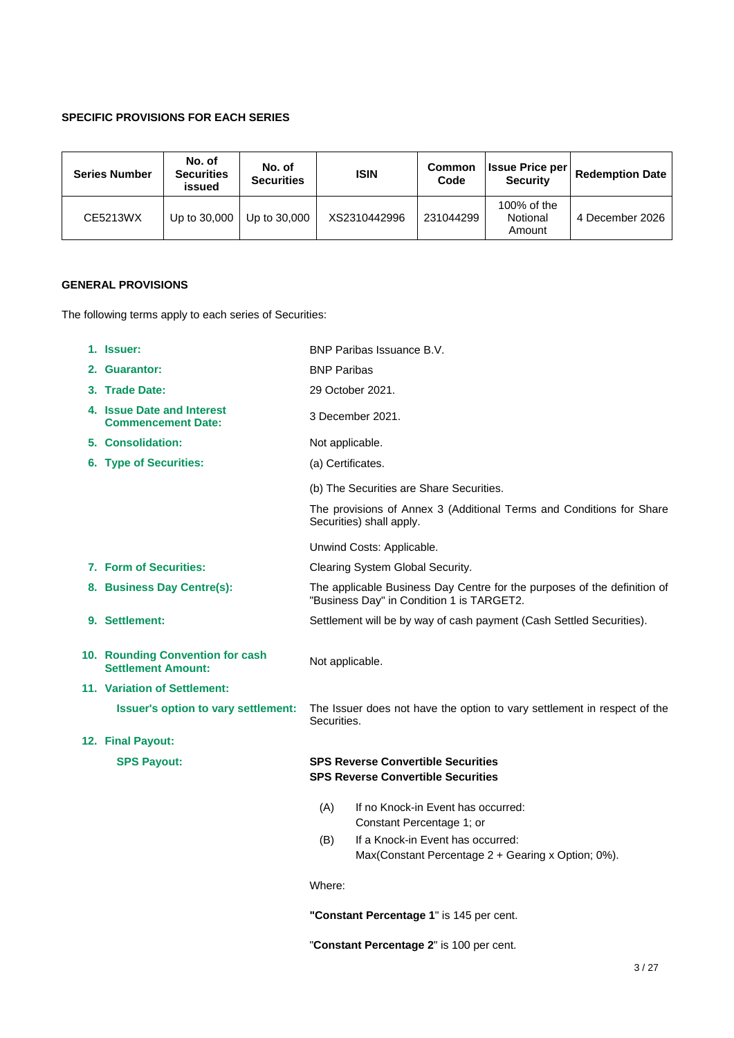# **SPECIFIC PROVISIONS FOR EACH SERIES**

| <b>Series Number</b> | No. of<br><b>Securities</b><br>issued | No. of<br><b>Securities</b> | <b>ISIN</b>  | <b>Common</b><br>Code | <b>Issue Price per</b><br><b>Security</b> | <b>Redemption Date</b> |
|----------------------|---------------------------------------|-----------------------------|--------------|-----------------------|-------------------------------------------|------------------------|
| CE5213WX             | Up to 30,000                          | Up to 30,000                | XS2310442996 | 231044299             | 100% of the<br>Notional<br>Amount         | 4 December 2026        |

# **GENERAL PROVISIONS**

The following terms apply to each series of Securities:

| 1. Issuer:                                                    | BNP Paribas Issuance B.V.                                                                                             |
|---------------------------------------------------------------|-----------------------------------------------------------------------------------------------------------------------|
| 2. Guarantor:                                                 | <b>BNP Paribas</b>                                                                                                    |
| 3. Trade Date:                                                | 29 October 2021.                                                                                                      |
| 4. Issue Date and Interest<br><b>Commencement Date:</b>       | 3 December 2021.                                                                                                      |
| 5. Consolidation:                                             | Not applicable.                                                                                                       |
| 6. Type of Securities:                                        | (a) Certificates.                                                                                                     |
|                                                               | (b) The Securities are Share Securities.                                                                              |
|                                                               | The provisions of Annex 3 (Additional Terms and Conditions for Share<br>Securities) shall apply.                      |
|                                                               | Unwind Costs: Applicable.                                                                                             |
| 7. Form of Securities:                                        | Clearing System Global Security.                                                                                      |
| 8. Business Day Centre(s):                                    | The applicable Business Day Centre for the purposes of the definition of<br>"Business Day" in Condition 1 is TARGET2. |
| 9. Settlement:                                                | Settlement will be by way of cash payment (Cash Settled Securities).                                                  |
| 10. Rounding Convention for cash<br><b>Settlement Amount:</b> | Not applicable.                                                                                                       |
| 11. Variation of Settlement:                                  |                                                                                                                       |
|                                                               |                                                                                                                       |
| <b>Issuer's option to vary settlement:</b>                    | The Issuer does not have the option to vary settlement in respect of the<br>Securities.                               |
| 12. Final Payout:                                             |                                                                                                                       |
| <b>SPS Payout:</b>                                            | <b>SPS Reverse Convertible Securities</b><br><b>SPS Reverse Convertible Securities</b>                                |
|                                                               | (A)<br>If no Knock-in Event has occurred:                                                                             |
|                                                               | Constant Percentage 1; or<br>If a Knock-in Event has occurred:<br>(B)                                                 |
|                                                               | Max(Constant Percentage 2 + Gearing x Option; 0%).                                                                    |
|                                                               | Where:                                                                                                                |

"**Constant Percentage 2**" is 100 per cent.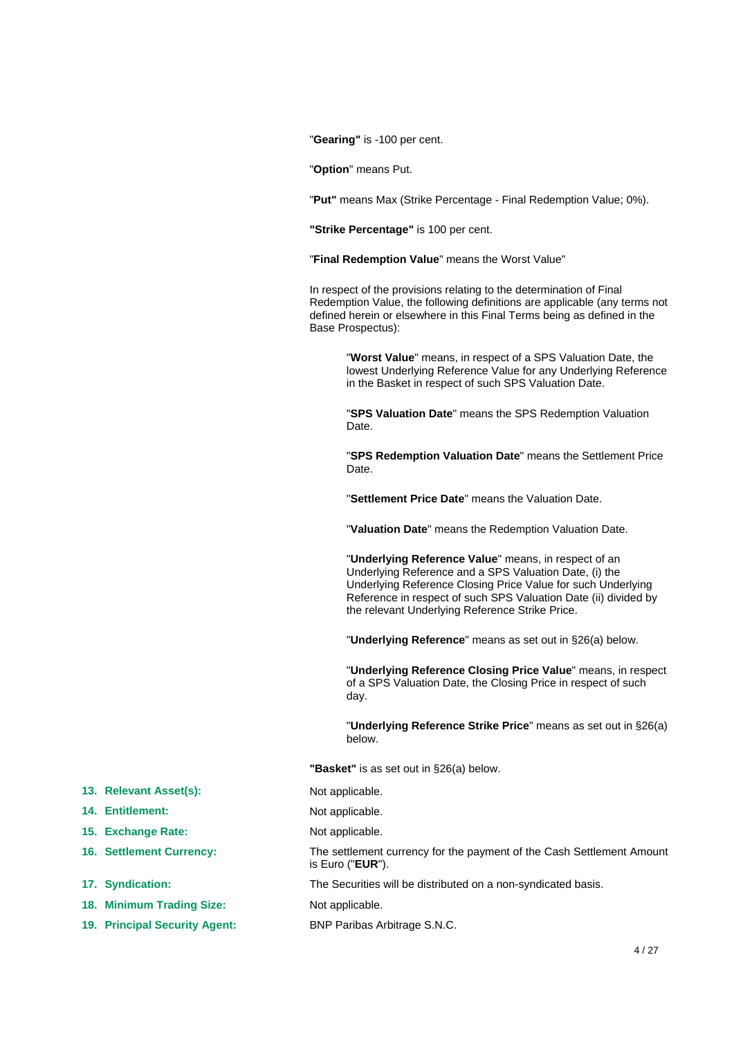"**Gearing"** is -100 per cent.

"**Option**" means Put.

"**Put"** means Max (Strike Percentage - Final Redemption Value; 0%).

**"Strike Percentage"** is 100 per cent.

"**Final Redemption Value**" means the Worst Value"

In respect of the provisions relating to the determination of Final Redemption Value, the following definitions are applicable (any terms not defined herein or elsewhere in this Final Terms being as defined in the Base Prospectus):

> "**Worst Value**" means, in respect of a SPS Valuation Date, the lowest Underlying Reference Value for any Underlying Reference in the Basket in respect of such SPS Valuation Date.

"**SPS Valuation Date**" means the SPS Redemption Valuation Date.

"**SPS Redemption Valuation Date**" means the Settlement Price Date.

"**Settlement Price Date**" means the Valuation Date.

"**Valuation Date**" means the Redemption Valuation Date.

"**Underlying Reference Value**" means, in respect of an Underlying Reference and a SPS Valuation Date, (i) the Underlying Reference Closing Price Value for such Underlying Reference in respect of such SPS Valuation Date (ii) divided by the relevant Underlying Reference Strike Price.

"**Underlying Reference**" means as set out in §26(a) below.

"**Underlying Reference Closing Price Value**" means, in respect of a SPS Valuation Date, the Closing Price in respect of such day.

"**Underlying Reference Strike Price**" means as set out in §26(a) below.

**"Basket"** is as set out in §26(a) below.

**16. Settlement Currency:** The settlement currency for the payment of the Cash Settlement Amount is Euro ("**EUR**").

**17. Syndication:** The Securities will be distributed on a non-syndicated basis.

**19. Principal Security Agent:** BNP Paribas Arbitrage S.N.C.

- **13. Relevant Asset(s):** Not applicable.
- **14. Entitlement:** Not applicable.
- **15. Exchange Rate:** Not applicable.
- 
- 
- 18. Minimum Trading Size: Not applicable.
-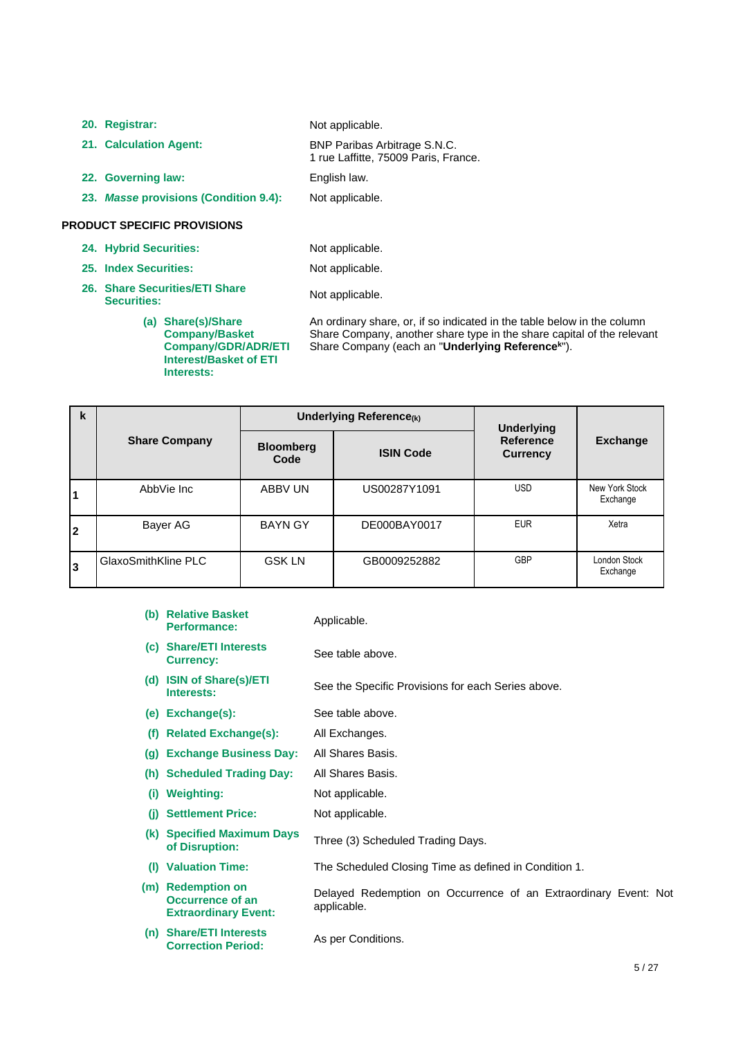**20. Registrar:** Not applicable. **21. Calculation Agent:** BNP Paribas Arbitrage S.N.C. 1 rue Laffitte, 75009 Paris, France. **22. Governing law:** English law. **23.** *Masse* **provisions (Condition 9.4):** Not applicable.

## **PRODUCT SPECIFIC PROVISIONS**

**24. Hybrid Securities:** Not applicable.

**25. Index Securities:** Not applicable.

**26. Share Securities/ETI Share**  Share Securities/ETT Share<br>Securities:<br>**Securities:** 

An ordinary share, or, if so indicated in the table below in the column

**(a) Share(s)/Share Company/Basket Company/GDR/ADR/ETI Interest/Basket of ETI Interests:**

Share Company, another share type in the share capital of the relevant Share Company (each an "**Underlying Reference<sup>k</sup>** ").

| k  |                      | Underlying Reference(k)  |                  | <b>Underlying</b>            |                            |
|----|----------------------|--------------------------|------------------|------------------------------|----------------------------|
|    | <b>Share Company</b> | <b>Bloomberg</b><br>Code | <b>ISIN Code</b> | Reference<br><b>Currency</b> | <b>Exchange</b>            |
|    | AbbVie Inc           | ABBV UN                  | US00287Y1091     | <b>USD</b>                   | New York Stock<br>Exchange |
| 12 | Bayer AG             | <b>BAYN GY</b>           | DE000BAY0017     | <b>EUR</b>                   | Xetra                      |
| Ι3 | GlaxoSmithKline PLC  | <b>GSK LN</b>            | GB0009252882     | GBP                          | London Stock<br>Exchange   |

- **(b) Relative Basket Performance:** Applicable. **(c) Share/ETI Interests**  See table above.
- **(d) ISIN of Share(s)/ETI Interests:**

- See the Specific Provisions for each Series above.
- **(e) Exchange(s):** See table above.
- **(f) Related Exchange(s):** All Exchanges.
- **(g) Exchange Business Day:** All Shares Basis.
- **(h) Scheduled Trading Day:** All Shares Basis.
- **(i) Weighting:** Not applicable.
- **(j) Settlement Price:** Not applicable.
- **(k) Specified Maximum Days of Disruption:** Three (3) Scheduled Trading Days.
- **(l) Valuation Time:** The Scheduled Closing Time as defined in Condition 1.
- **(m) Redemption on Occurrence of an Extraordinary Event:** Delayed Redemption on Occurrence of an Extraordinary Event: Not applicable.
- **(n) Share/ETI Interests Correction Period:** As per Conditions.
	-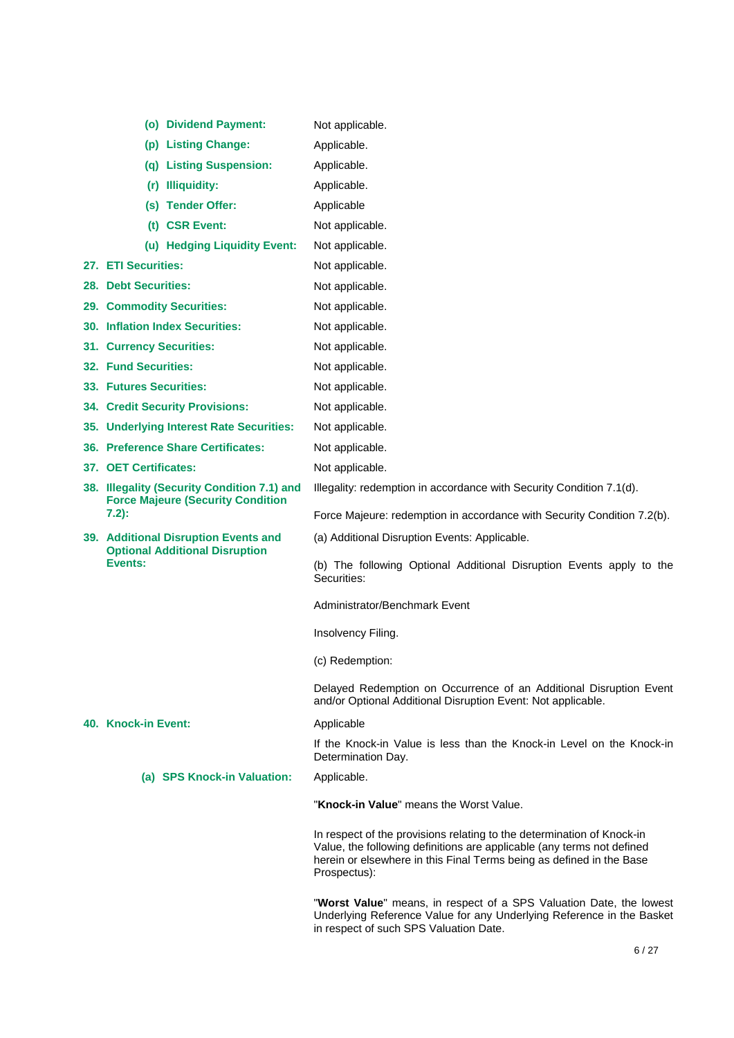| (o) Dividend Payment:                                                                   | Not applicable.                                                                                                                                                                                                                          |
|-----------------------------------------------------------------------------------------|------------------------------------------------------------------------------------------------------------------------------------------------------------------------------------------------------------------------------------------|
| (p) Listing Change:                                                                     | Applicable.                                                                                                                                                                                                                              |
| (q) Listing Suspension:                                                                 | Applicable.                                                                                                                                                                                                                              |
| (r) Illiquidity:                                                                        | Applicable.                                                                                                                                                                                                                              |
| (s) Tender Offer:                                                                       | Applicable                                                                                                                                                                                                                               |
| (t) CSR Event:                                                                          | Not applicable.                                                                                                                                                                                                                          |
| (u) Hedging Liquidity Event:                                                            | Not applicable.                                                                                                                                                                                                                          |
| 27. ETI Securities:                                                                     | Not applicable.                                                                                                                                                                                                                          |
| 28. Debt Securities:                                                                    | Not applicable.                                                                                                                                                                                                                          |
| 29. Commodity Securities:                                                               | Not applicable.                                                                                                                                                                                                                          |
| 30. Inflation Index Securities:                                                         | Not applicable.                                                                                                                                                                                                                          |
| 31. Currency Securities:                                                                | Not applicable.                                                                                                                                                                                                                          |
| <b>32. Fund Securities:</b>                                                             | Not applicable.                                                                                                                                                                                                                          |
| 33. Futures Securities:                                                                 | Not applicable.                                                                                                                                                                                                                          |
| <b>34. Credit Security Provisions:</b>                                                  | Not applicable.                                                                                                                                                                                                                          |
| 35. Underlying Interest Rate Securities:                                                | Not applicable.                                                                                                                                                                                                                          |
| 36. Preference Share Certificates:                                                      | Not applicable.                                                                                                                                                                                                                          |
| 37. OET Certificates:                                                                   | Not applicable.                                                                                                                                                                                                                          |
| 38. Illegality (Security Condition 7.1) and<br><b>Force Majeure (Security Condition</b> | Illegality: redemption in accordance with Security Condition 7.1(d).                                                                                                                                                                     |
| $7.2$ :                                                                                 | Force Majeure: redemption in accordance with Security Condition 7.2(b).                                                                                                                                                                  |
| 39. Additional Disruption Events and<br><b>Optional Additional Disruption</b>           | (a) Additional Disruption Events: Applicable.                                                                                                                                                                                            |
| Events:                                                                                 | (b) The following Optional Additional Disruption Events apply to the<br>Securities:                                                                                                                                                      |
|                                                                                         | Administrator/Benchmark Event                                                                                                                                                                                                            |
|                                                                                         | Insolvency Filing.                                                                                                                                                                                                                       |
|                                                                                         | (c) Redemption:                                                                                                                                                                                                                          |
|                                                                                         | Delayed Redemption on Occurrence of an Additional Disruption Event<br>and/or Optional Additional Disruption Event: Not applicable.                                                                                                       |
| 40. Knock-in Event:                                                                     | Applicable                                                                                                                                                                                                                               |
|                                                                                         | If the Knock-in Value is less than the Knock-in Level on the Knock-in<br>Determination Day.                                                                                                                                              |
| (a) SPS Knock-in Valuation:                                                             | Applicable.                                                                                                                                                                                                                              |
|                                                                                         | "Knock-in Value" means the Worst Value.                                                                                                                                                                                                  |
|                                                                                         | In respect of the provisions relating to the determination of Knock-in<br>Value, the following definitions are applicable (any terms not defined<br>herein or elsewhere in this Final Terms being as defined in the Base<br>Prospectus): |
|                                                                                         | "Worst Value" means, in respect of a SPS Valuation Date, the lowest<br>Underlying Reference Value for any Underlying Reference in the Basket                                                                                             |

in respect of such SPS Valuation Date.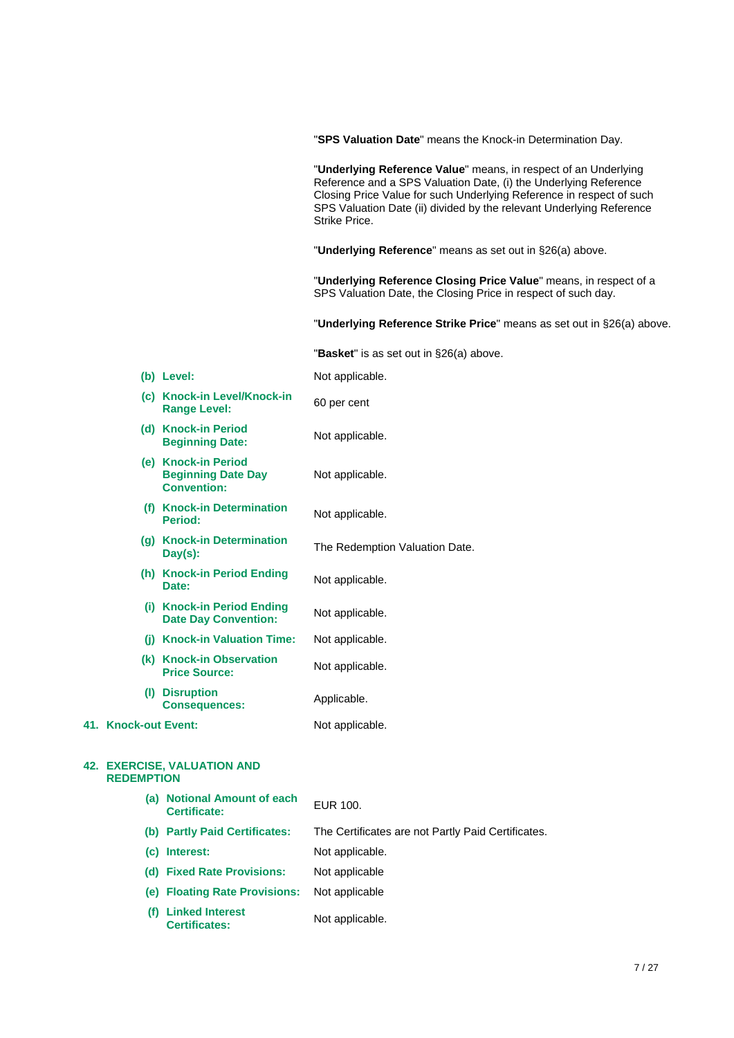|                      |                                                                        | "SPS Valuation Date" means the Knock-in Determination Day.                                                                                                                                                                                                                                           |
|----------------------|------------------------------------------------------------------------|------------------------------------------------------------------------------------------------------------------------------------------------------------------------------------------------------------------------------------------------------------------------------------------------------|
|                      |                                                                        | "Underlying Reference Value" means, in respect of an Underlying<br>Reference and a SPS Valuation Date, (i) the Underlying Reference<br>Closing Price Value for such Underlying Reference in respect of such<br>SPS Valuation Date (ii) divided by the relevant Underlying Reference<br>Strike Price. |
|                      |                                                                        | "Underlying Reference" means as set out in §26(a) above.                                                                                                                                                                                                                                             |
|                      |                                                                        | "Underlying Reference Closing Price Value" means, in respect of a<br>SPS Valuation Date, the Closing Price in respect of such day.                                                                                                                                                                   |
|                      |                                                                        | "Underlying Reference Strike Price" means as set out in §26(a) above.                                                                                                                                                                                                                                |
|                      |                                                                        | "Basket" is as set out in §26(a) above.                                                                                                                                                                                                                                                              |
|                      | (b) Level:                                                             | Not applicable.                                                                                                                                                                                                                                                                                      |
|                      | (c) Knock-in Level/Knock-in<br><b>Range Level:</b>                     | 60 per cent                                                                                                                                                                                                                                                                                          |
|                      | (d) Knock-in Period<br><b>Beginning Date:</b>                          | Not applicable.                                                                                                                                                                                                                                                                                      |
|                      | (e) Knock-in Period<br><b>Beginning Date Day</b><br><b>Convention:</b> | Not applicable.                                                                                                                                                                                                                                                                                      |
|                      | (f) Knock-in Determination<br><b>Period:</b>                           | Not applicable.                                                                                                                                                                                                                                                                                      |
|                      | (g) Knock-in Determination<br>Day(s):                                  | The Redemption Valuation Date.                                                                                                                                                                                                                                                                       |
|                      | (h) Knock-in Period Ending<br>Date:                                    | Not applicable.                                                                                                                                                                                                                                                                                      |
|                      | (i) Knock-in Period Ending<br><b>Date Day Convention:</b>              | Not applicable.                                                                                                                                                                                                                                                                                      |
|                      | (i) Knock-in Valuation Time:                                           | Not applicable.                                                                                                                                                                                                                                                                                      |
|                      | (k) Knock-in Observation<br><b>Price Source:</b>                       | Not applicable.                                                                                                                                                                                                                                                                                      |
|                      | (I) Disruption<br><b>Consequences:</b>                                 | Applicable.                                                                                                                                                                                                                                                                                          |
| 41. Knock-out Event: |                                                                        | Not applicable.                                                                                                                                                                                                                                                                                      |
| <b>REDEMPTION</b>    | <b>42. EXERCISE, VALUATION AND</b>                                     |                                                                                                                                                                                                                                                                                                      |
|                      | (a) Notional Amount of each<br>Certificate:                            | <b>EUR 100.</b>                                                                                                                                                                                                                                                                                      |
|                      | (b) Partly Paid Certificates:                                          | The Certificates are not Partly Paid Certificates.                                                                                                                                                                                                                                                   |
|                      | (c) Interest:                                                          | Not applicable.                                                                                                                                                                                                                                                                                      |

- **(d) Fixed Rate Provisions:** Not applicable
- **(e) Floating Rate Provisions:** Not applicable
- **(f) Linked Interest Certificates:** Not applicable.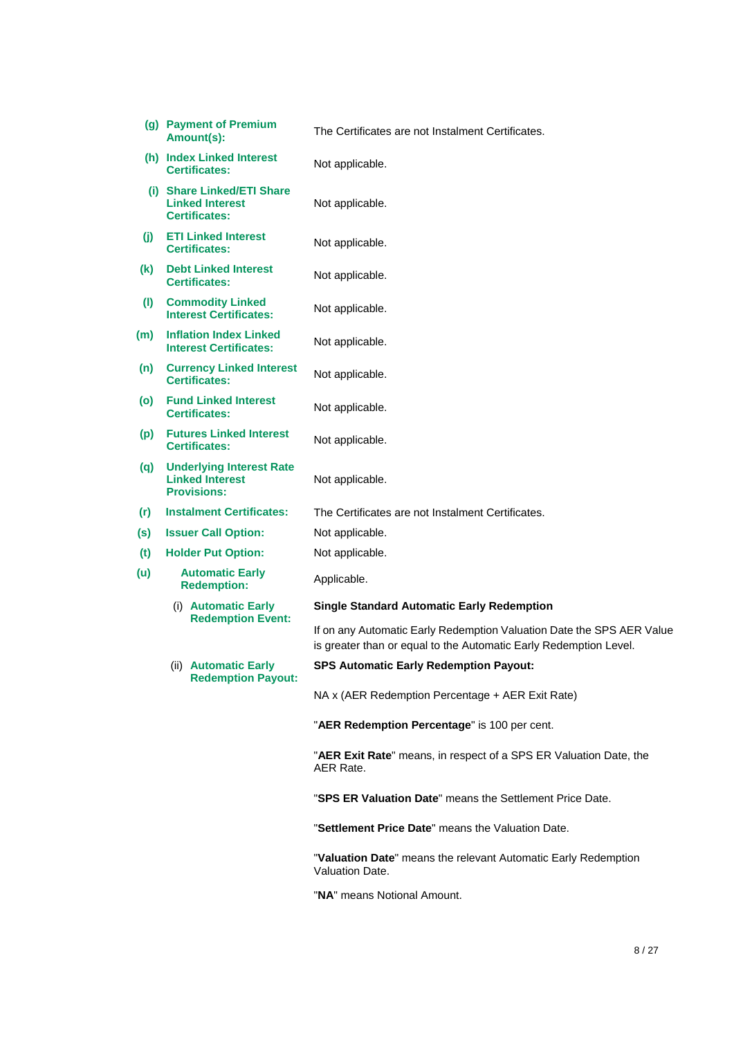|     | (g) Payment of Premium<br>Amount(s):                                            | The Certificates are not Instalment Certificates.                                                                                          |
|-----|---------------------------------------------------------------------------------|--------------------------------------------------------------------------------------------------------------------------------------------|
|     | (h) Index Linked Interest<br><b>Certificates:</b>                               | Not applicable.                                                                                                                            |
|     | (i) Share Linked/ETI Share<br><b>Linked Interest</b><br><b>Certificates:</b>    | Not applicable.                                                                                                                            |
| (i) | <b>ETI Linked Interest</b><br><b>Certificates:</b>                              | Not applicable.                                                                                                                            |
| (k) | <b>Debt Linked Interest</b><br><b>Certificates:</b>                             | Not applicable.                                                                                                                            |
| (1) | <b>Commodity Linked</b><br><b>Interest Certificates:</b>                        | Not applicable.                                                                                                                            |
| (m) | <b>Inflation Index Linked</b><br><b>Interest Certificates:</b>                  | Not applicable.                                                                                                                            |
| (n) | <b>Currency Linked Interest</b><br><b>Certificates:</b>                         | Not applicable.                                                                                                                            |
| (o) | <b>Fund Linked Interest</b><br><b>Certificates:</b>                             | Not applicable.                                                                                                                            |
| (p) | <b>Futures Linked Interest</b><br><b>Certificates:</b>                          | Not applicable.                                                                                                                            |
| (q) | <b>Underlying Interest Rate</b><br><b>Linked Interest</b><br><b>Provisions:</b> | Not applicable.                                                                                                                            |
| (r) | <b>Instalment Certificates:</b>                                                 | The Certificates are not Instalment Certificates.                                                                                          |
| (s) | <b>Issuer Call Option:</b>                                                      | Not applicable.                                                                                                                            |
| (t) | <b>Holder Put Option:</b>                                                       | Not applicable.                                                                                                                            |
| (u) | <b>Automatic Early</b><br><b>Redemption:</b>                                    | Applicable.                                                                                                                                |
|     | (i) Automatic Early                                                             | <b>Single Standard Automatic Early Redemption</b>                                                                                          |
|     | <b>Redemption Event:</b>                                                        | If on any Automatic Early Redemption Valuation Date the SPS AER Value<br>is greater than or equal to the Automatic Early Redemption Level. |
|     | (ii) Automatic Early<br><b>Redemption Payout:</b>                               | <b>SPS Automatic Early Redemption Payout:</b>                                                                                              |
|     |                                                                                 | NA x (AER Redemption Percentage + AER Exit Rate)                                                                                           |
|     |                                                                                 | "AER Redemption Percentage" is 100 per cent.                                                                                               |
|     |                                                                                 | "AER Exit Rate" means, in respect of a SPS ER Valuation Date, the<br>AER Rate.                                                             |
|     |                                                                                 | "SPS ER Valuation Date" means the Settlement Price Date.                                                                                   |
|     |                                                                                 | "Settlement Price Date" means the Valuation Date.                                                                                          |
|     |                                                                                 | "Valuation Date" means the relevant Automatic Early Redemption<br>Valuation Date.                                                          |

"**NA**" means Notional Amount.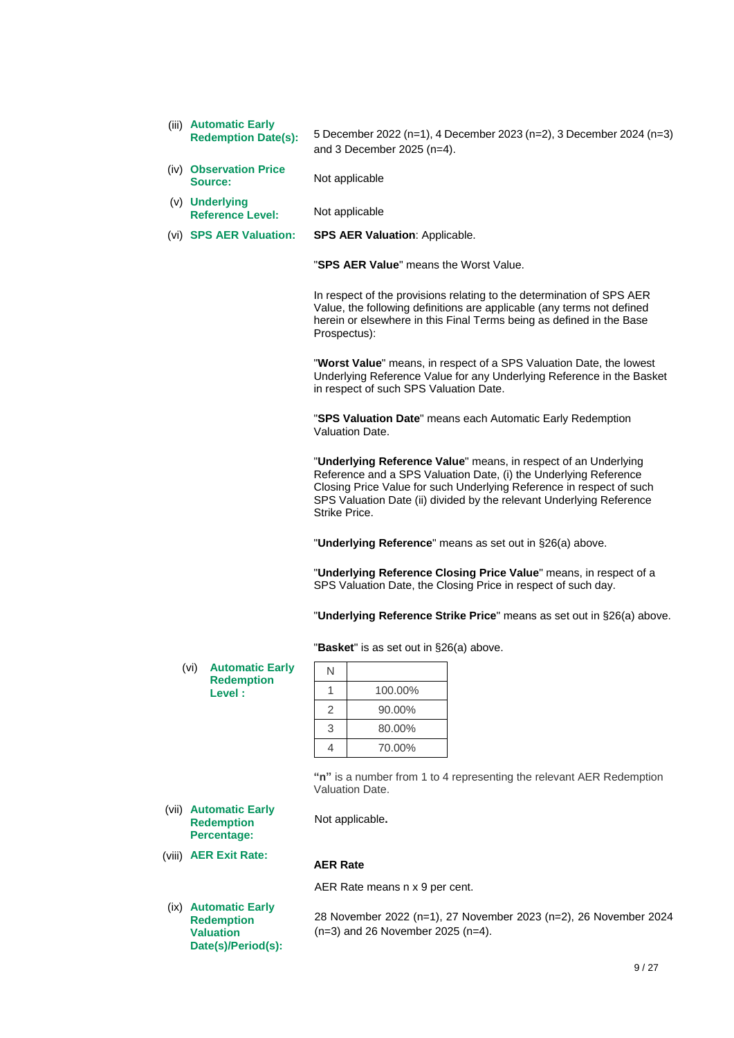(iii) **Automatic Early** 

**Redemption Date(s):** 5 December 2022 (n=1), 4 December 2023 (n=2), 3 December 2024 (n=3) and 3 December 2025 (n=4).

- (iv) **Observation Price**
- (v) **Underlying Reference Level:** Not applicable
- (vi) **SPS AER Valuation: SPS AER Valuation**: Applicable.

Not applicable

"**SPS AER Value**" means the Worst Value.

In respect of the provisions relating to the determination of SPS AER Value, the following definitions are applicable (any terms not defined herein or elsewhere in this Final Terms being as defined in the Base Prospectus):

"**Worst Value**" means, in respect of a SPS Valuation Date, the lowest Underlying Reference Value for any Underlying Reference in the Basket in respect of such SPS Valuation Date.

"**SPS Valuation Date**" means each Automatic Early Redemption Valuation Date.

"**Underlying Reference Value**" means, in respect of an Underlying Reference and a SPS Valuation Date, (i) the Underlying Reference Closing Price Value for such Underlying Reference in respect of such SPS Valuation Date (ii) divided by the relevant Underlying Reference Strike Price.

"**Underlying Reference**" means as set out in §26(a) above.

"**Underlying Reference Closing Price Value**" means, in respect of a SPS Valuation Date, the Closing Price in respect of such day.

"**Underlying Reference Strike Price**" means as set out in §26(a) above.

"**Basket**" is as set out in §26(a) above.

(vi) **Automatic Early Redemption Level :**

| N |         |
|---|---------|
|   | 100.00% |
| 2 | 90.00%  |
| 3 | 80.00%  |
|   | 70.00%  |

**"n"** is a number from 1 to 4 representing the relevant AER Redemption Valuation Date.

Not applicable**.**

# **Redemption Percentage:**

(viii) **AER Exit Rate:**

(vii) **Automatic Early** 

(ix) **Automatic Early Redemption Valuation Date(s)/Period(s):** **AER Rate**

AER Rate means n x 9 per cent.

28 November 2022 (n=1), 27 November 2023 (n=2), 26 November 2024 (n=3) and 26 November 2025 (n=4).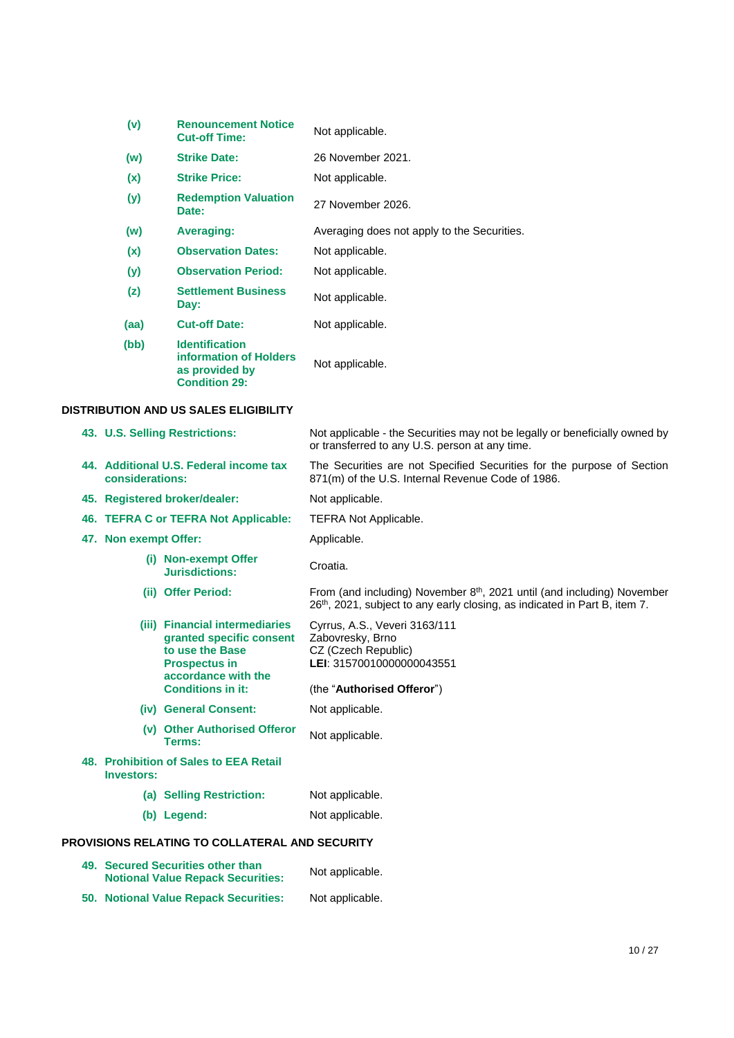| (v)  | <b>Renouncement Notice</b><br><b>Cut-off Time:</b>                                        | Not applicable.                             |
|------|-------------------------------------------------------------------------------------------|---------------------------------------------|
| (w)  | <b>Strike Date:</b>                                                                       | 26 November 2021.                           |
| (x)  | <b>Strike Price:</b>                                                                      | Not applicable.                             |
| (y)  | <b>Redemption Valuation</b><br>Date:                                                      | 27 November 2026.                           |
| (w)  | Averaging:                                                                                | Averaging does not apply to the Securities. |
| (x)  | <b>Observation Dates:</b>                                                                 | Not applicable.                             |
| (y)  | <b>Observation Period:</b>                                                                | Not applicable.                             |
| (z)  | <b>Settlement Business</b><br>Day:                                                        | Not applicable.                             |
| (aa) | <b>Cut-off Date:</b>                                                                      | Not applicable.                             |
| (bb) | <b>Identification</b><br>information of Holders<br>as provided by<br><b>Condition 29:</b> | Not applicable.                             |

# **DISTRIBUTION AND US SALES ELIGIBILITY**

|                       | 43. U.S. Selling Restrictions:                                                                                                                           | Not applicable - the Securities may not be legally or beneficially owned by<br>or transferred to any U.S. person at any time.                                                 |
|-----------------------|----------------------------------------------------------------------------------------------------------------------------------------------------------|-------------------------------------------------------------------------------------------------------------------------------------------------------------------------------|
| considerations:       | 44. Additional U.S. Federal income tax                                                                                                                   | The Securities are not Specified Securities for the purpose of Section<br>871(m) of the U.S. Internal Revenue Code of 1986.                                                   |
|                       | 45. Registered broker/dealer:                                                                                                                            | Not applicable.                                                                                                                                                               |
|                       | 46. TEFRA C or TEFRA Not Applicable:                                                                                                                     | <b>TEFRA Not Applicable.</b>                                                                                                                                                  |
| 47. Non exempt Offer: |                                                                                                                                                          | Applicable.                                                                                                                                                                   |
|                       | (i) Non-exempt Offer<br>Jurisdictions:                                                                                                                   | Croatia.                                                                                                                                                                      |
|                       | (ii) Offer Period:                                                                                                                                       | From (and including) November 8 <sup>th</sup> , 2021 until (and including) November<br>26 <sup>th</sup> , 2021, subject to any early closing, as indicated in Part B, item 7. |
|                       | (iii) Financial intermediaries<br>granted specific consent<br>to use the Base<br><b>Prospectus in</b><br>accordance with the<br><b>Conditions in it:</b> | Cyrrus, A.S., Veveri 3163/111<br>Zabovresky, Brno<br>CZ (Czech Republic)<br>LEI: 31570010000000043551<br>(the "Authorised Offeror")                                           |
|                       | (iv) General Consent:                                                                                                                                    | Not applicable.                                                                                                                                                               |
|                       | (v) Other Authorised Offeror<br>Terms:                                                                                                                   | Not applicable.                                                                                                                                                               |
| <b>Investors:</b>     | 48. Prohibition of Sales to EEA Retail                                                                                                                   |                                                                                                                                                                               |
|                       | (a) Selling Restriction:                                                                                                                                 | Not applicable.                                                                                                                                                               |
|                       | (b) Legend:                                                                                                                                              | Not applicable.                                                                                                                                                               |
|                       | <b>PROVISIONS RELATING TO COLLATERAL AND SECURITY</b>                                                                                                    |                                                                                                                                                                               |
|                       | 49. Secured Securities other than<br><b>Notional Value Repack Securities:</b>                                                                            | Not applicable.                                                                                                                                                               |
|                       | <b>50. Notional Value Repack Securities:</b>                                                                                                             | Not applicable.                                                                                                                                                               |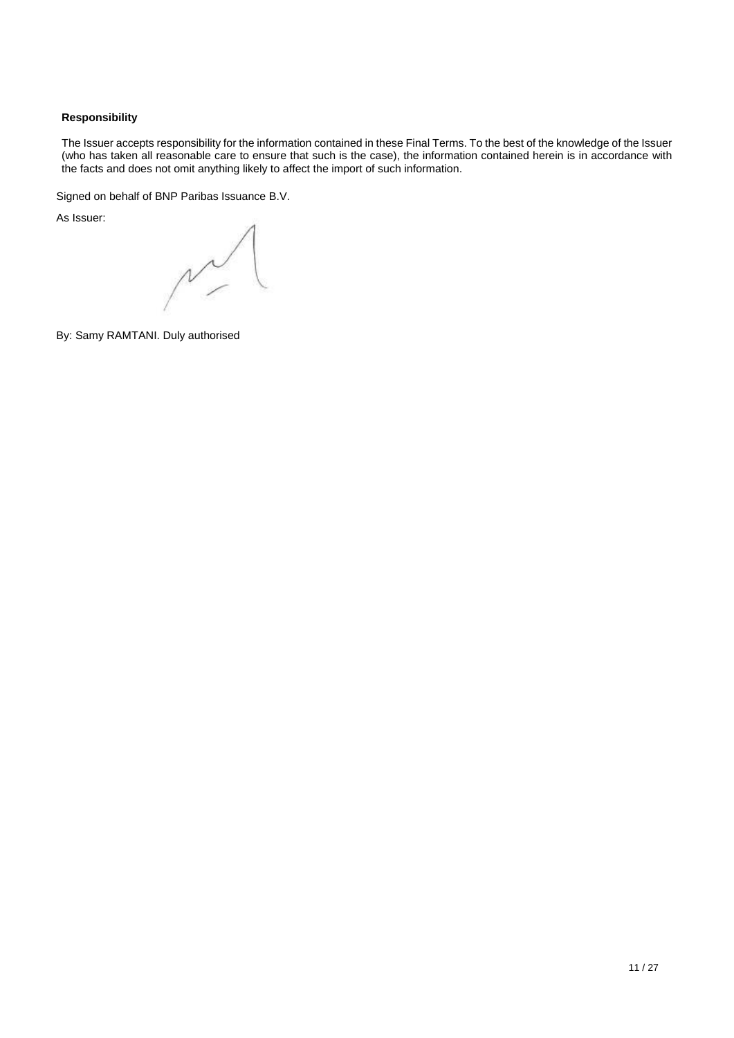# **Responsibility**

The Issuer accepts responsibility for the information contained in these Final Terms. To the best of the knowledge of the Issuer (who has taken all reasonable care to ensure that such is the case), the information contained herein is in accordance with the facts and does not omit anything likely to affect the import of such information.

Signed on behalf of BNP Paribas Issuance B.V.

As Issuer:

 $\sim$ 

By: Samy RAMTANI. Duly authorised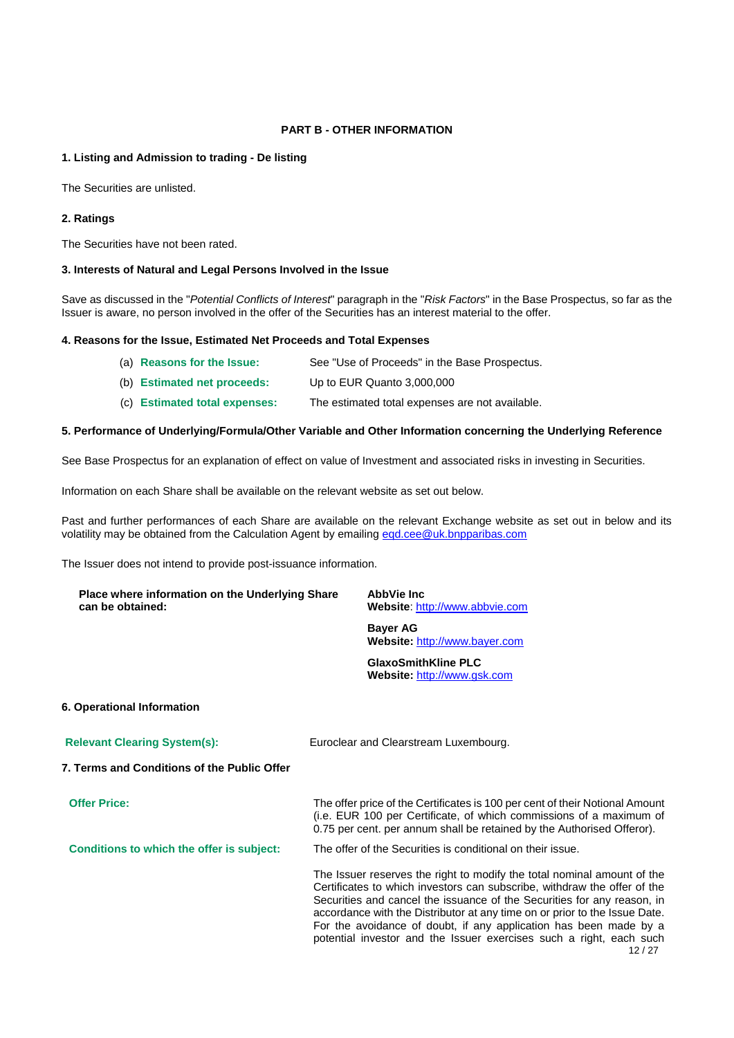# **PART B - OTHER INFORMATION**

## **1. Listing and Admission to trading - De listing**

The Securities are unlisted.

## **2. Ratings**

The Securities have not been rated.

## **3. Interests of Natural and Legal Persons Involved in the Issue**

Save as discussed in the "*Potential Conflicts of Interest*" paragraph in the "*Risk Factors*" in the Base Prospectus, so far as the Issuer is aware, no person involved in the offer of the Securities has an interest material to the offer.

## **4. Reasons for the Issue, Estimated Net Proceeds and Total Expenses**

- (a) **Reasons for the Issue:** See "Use of Proceeds" in the Base Prospectus.
- (b) **Estimated net proceeds:** Up to EUR Quanto 3,000,000
- (c) **Estimated total expenses:** The estimated total expenses are not available.

## **5. Performance of Underlying/Formula/Other Variable and Other Information concerning the Underlying Reference**

See Base Prospectus for an explanation of effect on value of Investment and associated risks in investing in Securities.

Information on each Share shall be available on the relevant website as set out below.

Past and further performances of each Share are available on the relevant Exchange website as set out in below and its volatility may be obtained from the Calculation Agent by emailing [eqd.cee@uk.bnpparibas.com](mailto:eqd.cee@uk.bnpparibas.com)

The Issuer does not intend to provide post-issuance information.

| Place where information on the Underlying Share<br>can be obtained: | AbbVie Inc<br>Website: http://www.abbvie.com                                                   |
|---------------------------------------------------------------------|------------------------------------------------------------------------------------------------|
|                                                                     | <b>Bayer AG</b><br>Website: http://www.bayer.com                                               |
|                                                                     | <b>GlaxoSmithKline PLC</b><br>Website: http://www.gsk.com                                      |
| 6. Operational Information                                          |                                                                                                |
| <b>Relevant Clearing System(s):</b>                                 | Euroclear and Clearstream Luxembourg.                                                          |
| 7. Terms and Conditions of the Public Offer                         |                                                                                                |
| <b>Offer Price:</b>                                                 | The offer price of the Certificates is 100 per cent of their Notional Amount<br>$\blacksquare$ |

(i.e. EUR 100 per Certificate, of which commissions of a maximum of 0.75 per cent. per annum shall be retained by the Authorised Offeror).

**Conditions to which the offer is subject:** The offer of the Securities is conditional on their issue.

12 / 27 The Issuer reserves the right to modify the total nominal amount of the Certificates to which investors can subscribe, withdraw the offer of the Securities and cancel the issuance of the Securities for any reason, in accordance with the Distributor at any time on or prior to the Issue Date. For the avoidance of doubt, if any application has been made by a potential investor and the Issuer exercises such a right, each such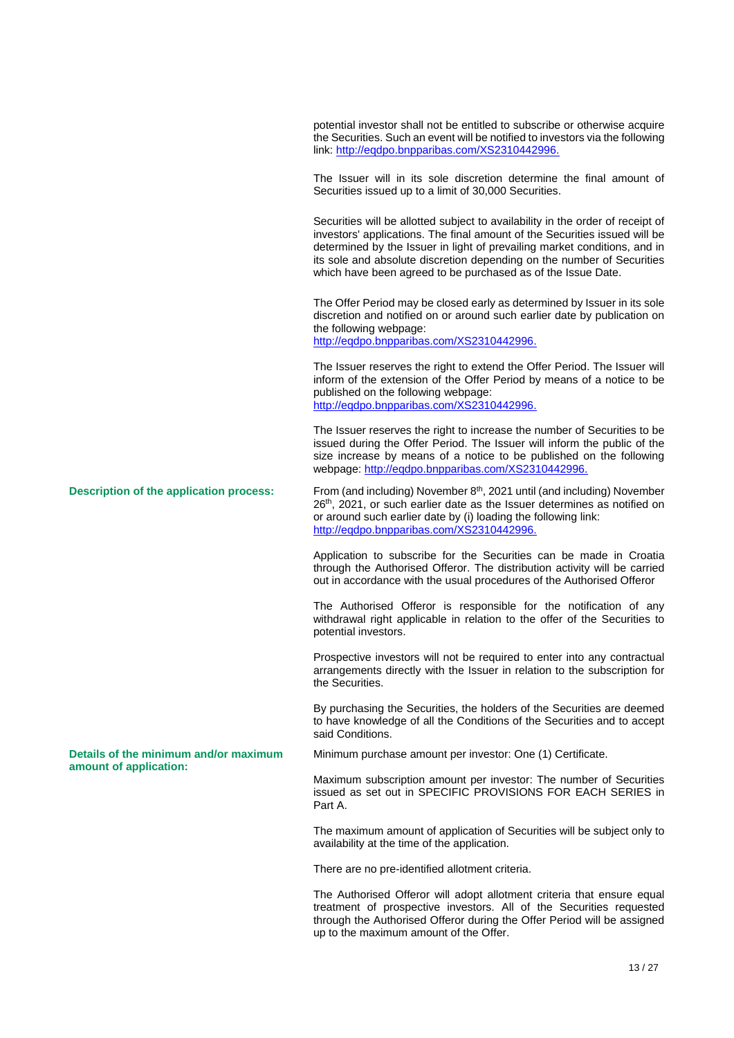potential investor shall not be entitled to subscribe or otherwise acquire the Securities. Such an event will be notified to investors via the following link[: http://eqdpo.bnpparibas.com/XS2310442996.](http://eqdpo.bnpparibas.com/XS2310442996) The Issuer will in its sole discretion determine the final amount of Securities issued up to a limit of 30,000 Securities. Securities will be allotted subject to availability in the order of receipt of investors' applications. The final amount of the Securities issued will be determined by the Issuer in light of prevailing market conditions, and in its sole and absolute discretion depending on the number of Securities which have been agreed to be purchased as of the Issue Date. The Offer Period may be closed early as determined by Issuer in its sole discretion and notified on or around such earlier date by publication on the following webpage: [http://eqdpo.bnpparibas.com/XS2310442996.](http://eqdpo.bnpparibas.com/XS2310442996) The Issuer reserves the right to extend the Offer Period. The Issuer will inform of the extension of the Offer Period by means of a notice to be published on the following webpage: [http://eqdpo.bnpparibas.com/XS2310442996.](http://eqdpo.bnpparibas.com/XS2310442996) The Issuer reserves the right to increase the number of Securities to be issued during the Offer Period. The Issuer will inform the public of the size increase by means of a notice to be published on the following webpage: [http://eqdpo.bnpparibas.com/XS2310442996.](http://eqdpo.bnpparibas.com/XS2310442996) **Description of the application process:** From (and including) November  $8<sup>th</sup>$ , 2021 until (and including) November 26<sup>th</sup>, 2021, or such earlier date as the Issuer determines as notified on or around such earlier date by (i) loading the following link: [http://eqdpo.bnpparibas.com/XS2310442996.](http://eqdpo.bnpparibas.com/XS2310442996) Application to subscribe for the Securities can be made in Croatia through the Authorised Offeror. The distribution activity will be carried out in accordance with the usual procedures of the Authorised Offeror The Authorised Offeror is responsible for the notification of any withdrawal right applicable in relation to the offer of the Securities to potential investors. Prospective investors will not be required to enter into any contractual arrangements directly with the Issuer in relation to the subscription for the Securities. By purchasing the Securities, the holders of the Securities are deemed to have knowledge of all the Conditions of the Securities and to accept said Conditions. **Details of the minimum and/or maximum amount of application:** Minimum purchase amount per investor: One (1) Certificate. Maximum subscription amount per investor: The number of Securities issued as set out in SPECIFIC PROVISIONS FOR EACH SERIES in Part A. The maximum amount of application of Securities will be subject only to availability at the time of the application. There are no pre-identified allotment criteria.

> The Authorised Offeror will adopt allotment criteria that ensure equal treatment of prospective investors. All of the Securities requested through the Authorised Offeror during the Offer Period will be assigned up to the maximum amount of the Offer.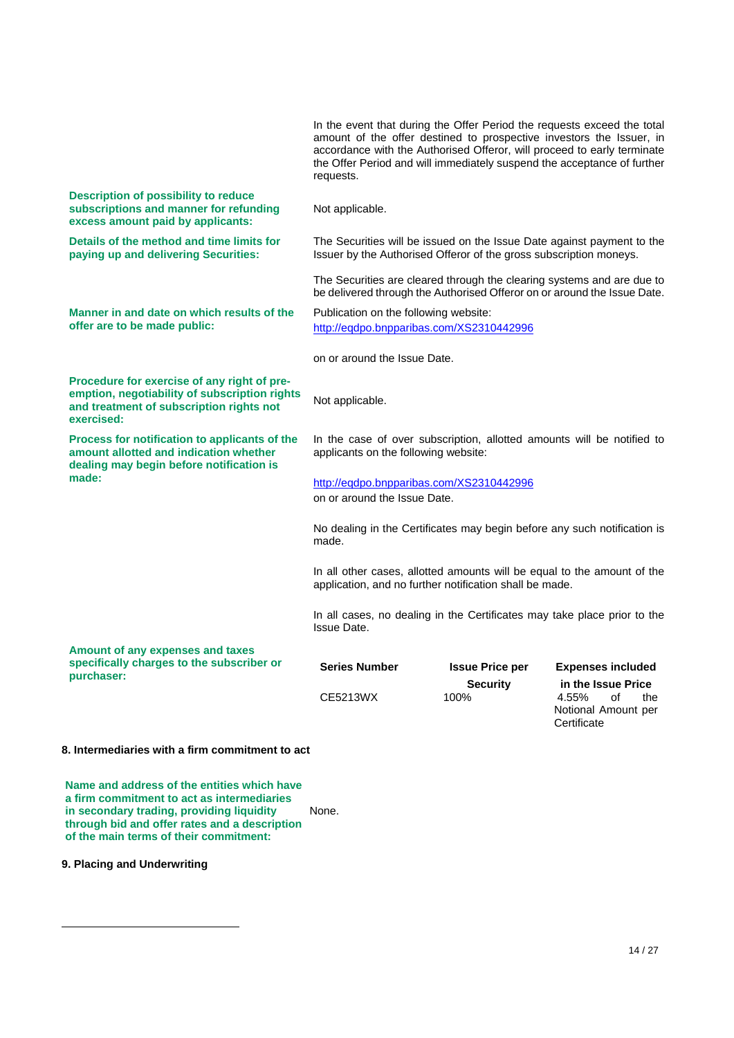|                                                                                                                                                        | In the event that during the Offer Period the requests exceed the total<br>amount of the offer destined to prospective investors the Issuer, in<br>accordance with the Authorised Offeror, will proceed to early terminate<br>the Offer Period and will immediately suspend the acceptance of further<br>requests. |                         |                                                                                |
|--------------------------------------------------------------------------------------------------------------------------------------------------------|--------------------------------------------------------------------------------------------------------------------------------------------------------------------------------------------------------------------------------------------------------------------------------------------------------------------|-------------------------|--------------------------------------------------------------------------------|
| <b>Description of possibility to reduce</b><br>subscriptions and manner for refunding<br>excess amount paid by applicants:                             | Not applicable.                                                                                                                                                                                                                                                                                                    |                         |                                                                                |
| Details of the method and time limits for<br>paying up and delivering Securities:                                                                      | The Securities will be issued on the Issue Date against payment to the<br>Issuer by the Authorised Offeror of the gross subscription moneys.                                                                                                                                                                       |                         |                                                                                |
|                                                                                                                                                        | The Securities are cleared through the clearing systems and are due to<br>be delivered through the Authorised Offeror on or around the Issue Date.                                                                                                                                                                 |                         |                                                                                |
| Manner in and date on which results of the<br>offer are to be made public:                                                                             | Publication on the following website:<br>http://eqdpo.bnpparibas.com/XS2310442996                                                                                                                                                                                                                                  |                         |                                                                                |
|                                                                                                                                                        | on or around the Issue Date.                                                                                                                                                                                                                                                                                       |                         |                                                                                |
| Procedure for exercise of any right of pre-<br>emption, negotiability of subscription rights<br>and treatment of subscription rights not<br>exercised: | Not applicable.                                                                                                                                                                                                                                                                                                    |                         |                                                                                |
| Process for notification to applicants of the<br>amount allotted and indication whether<br>dealing may begin before notification is                    | In the case of over subscription, allotted amounts will be notified to<br>applicants on the following website:                                                                                                                                                                                                     |                         |                                                                                |
| made:                                                                                                                                                  | http://eqdpo.bnpparibas.com/XS2310442996<br>on or around the Issue Date.                                                                                                                                                                                                                                           |                         |                                                                                |
|                                                                                                                                                        |                                                                                                                                                                                                                                                                                                                    |                         |                                                                                |
|                                                                                                                                                        | No dealing in the Certificates may begin before any such notification is<br>made.                                                                                                                                                                                                                                  |                         |                                                                                |
|                                                                                                                                                        | In all other cases, allotted amounts will be equal to the amount of the<br>application, and no further notification shall be made.                                                                                                                                                                                 |                         |                                                                                |
|                                                                                                                                                        | In all cases, no dealing in the Certificates may take place prior to the<br><b>Issue Date.</b>                                                                                                                                                                                                                     |                         |                                                                                |
| Amount of any expenses and taxes                                                                                                                       |                                                                                                                                                                                                                                                                                                                    |                         |                                                                                |
| specifically charges to the subscriber or<br>purchaser:                                                                                                | <b>Series Number</b>                                                                                                                                                                                                                                                                                               | <b>Issue Price per</b>  | <b>Expenses included</b>                                                       |
|                                                                                                                                                        | CE5213WX                                                                                                                                                                                                                                                                                                           | <b>Security</b><br>100% | in the Issue Price<br>4.55%<br>of<br>the<br>Notional Amount per<br>Certificate |

## **8. Intermediaries with a firm commitment to act**

**Name and address of the entities which have a firm commitment to act as intermediaries in secondary trading, providing liquidity through bid and offer rates and a description of the main terms of their commitment:** None.

**9. Placing and Underwriting**

 $\overline{a}$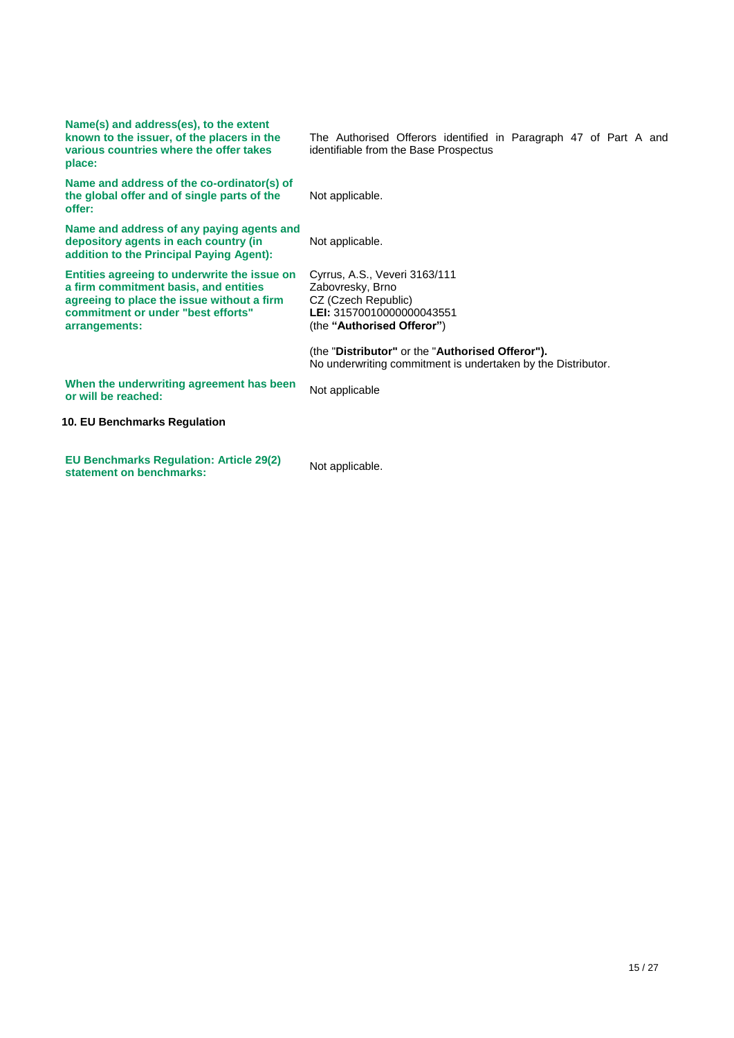| Name(s) and address(es), to the extent<br>known to the issuer, of the placers in the<br>various countries where the offer takes<br>place:                                                  | The Authorised Offerors identified in Paragraph 47 of Part A and<br>identifiable from the Base Prospectus                           |
|--------------------------------------------------------------------------------------------------------------------------------------------------------------------------------------------|-------------------------------------------------------------------------------------------------------------------------------------|
| Name and address of the co-ordinator(s) of<br>the global offer and of single parts of the<br>offer:                                                                                        | Not applicable.                                                                                                                     |
| Name and address of any paying agents and<br>depository agents in each country (in<br>addition to the Principal Paying Agent):                                                             | Not applicable.                                                                                                                     |
| Entities agreeing to underwrite the issue on<br>a firm commitment basis, and entities<br>agreeing to place the issue without a firm<br>commitment or under "best efforts"<br>arrangements: | Cyrrus, A.S., Veveri 3163/111<br>Zabovresky, Brno<br>CZ (Czech Republic)<br>LEI: 31570010000000043551<br>(the "Authorised Offeror") |
|                                                                                                                                                                                            | (the "Distributor" or the "Authorised Offeror").<br>No underwriting commitment is undertaken by the Distributor.                    |
| When the underwriting agreement has been<br>or will be reached:                                                                                                                            | Not applicable                                                                                                                      |
| 10. EU Benchmarks Regulation                                                                                                                                                               |                                                                                                                                     |
| <b>EU Benchmarks Regulation: Article 29(2)</b><br>statement on benchmarks:                                                                                                                 | Not applicable.                                                                                                                     |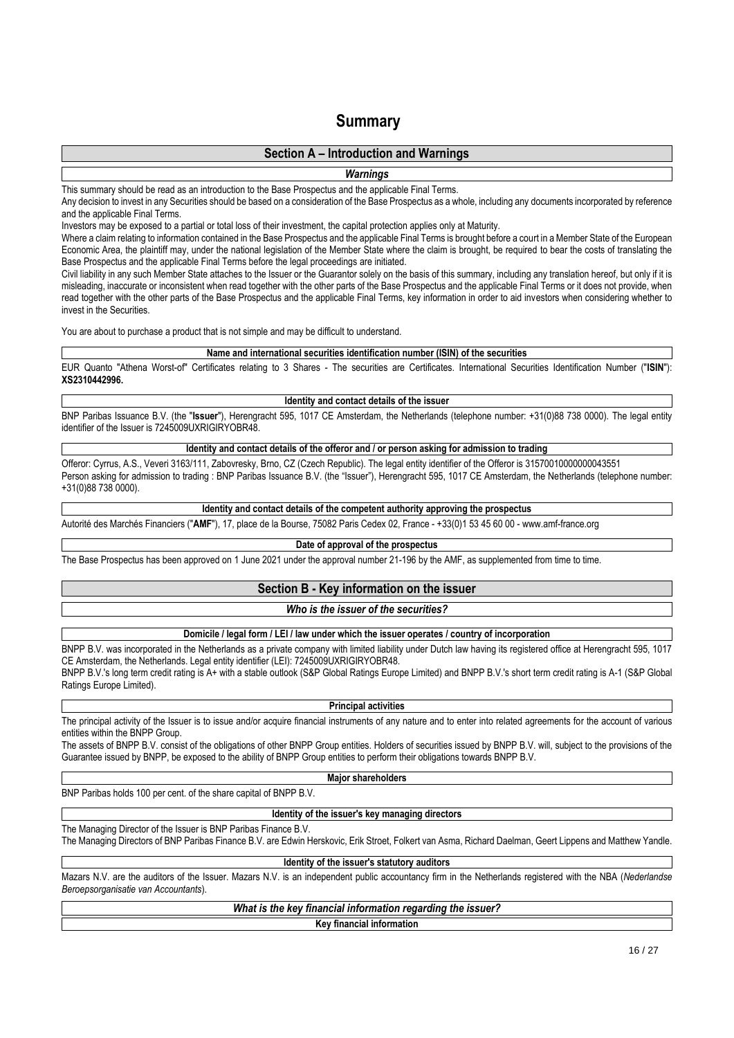# **Summary**

# **Section A – Introduction and Warnings**

*Warnings*

This summary should be read as an introduction to the Base Prospectus and the applicable Final Terms.

Any decision to invest in any Securities should be based on a consideration of the Base Prospectus as a whole, including any documents incorporated by reference and the applicable Final Terms.

Investors may be exposed to a partial or total loss of their investment, the capital protection applies only at Maturity.

Where a claim relating to information contained in the Base Prospectus and the applicable Final Terms is brought before a court in a Member State of the European Economic Area, the plaintiff may, under the national legislation of the Member State where the claim is brought, be required to bear the costs of translating the Base Prospectus and the applicable Final Terms before the legal proceedings are initiated.

Civil liability in any such Member State attaches to the Issuer or the Guarantor solely on the basis of this summary, including any translation hereof, but only if it is misleading, inaccurate or inconsistent when read together with the other parts of the Base Prospectus and the applicable Final Terms or it does not provide, when read together with the other parts of the Base Prospectus and the applicable Final Terms, key information in order to aid investors when considering whether to invest in the Securities.

You are about to purchase a product that is not simple and may be difficult to understand.

#### **Name and international securities identification number (ISIN) of the securities**

EUR Quanto "Athena Worst-of" Certificates relating to 3 Shares - The securities are Certificates. International Securities Identification Number ("**ISIN**"): **XS2310442996.**

#### **Identity and contact details of the issuer**

BNP Paribas Issuance B.V. (the "**Issuer**"), Herengracht 595, 1017 CE Amsterdam, the Netherlands (telephone number: +31(0)88 738 0000). The legal entity identifier of the Issuer is 7245009UXRIGIRYOBR48.

#### **Identity and contact details of the offeror and / or person asking for admission to trading**

Offeror: Cyrrus, A.S., Veveri 3163/111, Zabovresky, Brno, CZ (Czech Republic). The legal entity identifier of the Offeror is 31570010000000043551 Person asking for admission to trading : BNP Paribas Issuance B.V. (the "Issuer"), Herengracht 595, 1017 CE Amsterdam, the Netherlands (telephone number: +31(0)88 738 0000).

## **Identity and contact details of the competent authority approving the prospectus**

Autorité des Marchés Financiers ("**AMF**"), 17, place de la Bourse, 75082 Paris Cedex 02, France - +33(0)1 53 45 60 00 - www.amf-france.org

## **Date of approval of the prospectus**

The Base Prospectus has been approved on 1 June 2021 under the approval number 21-196 by the AMF, as supplemented from time to time.

# **Section B - Key information on the issuer**

#### *Who is the issuer of the securities?*

#### **Domicile / legal form / LEI / law under which the issuer operates / country of incorporation**

BNPP B.V. was incorporated in the Netherlands as a private company with limited liability under Dutch law having its registered office at Herengracht 595, 1017 CE Amsterdam, the Netherlands. Legal entity identifier (LEI): 7245009UXRIGIRYOBR48.

BNPP B.V.'s long term credit rating is A+ with a stable outlook (S&P Global Ratings Europe Limited) and BNPP B.V.'s short term credit rating is A-1 (S&P Global Ratings Europe Limited).

#### **Principal activities**

The principal activity of the Issuer is to issue and/or acquire financial instruments of any nature and to enter into related agreements for the account of various entities within the BNPP Group.

The assets of BNPP B.V. consist of the obligations of other BNPP Group entities. Holders of securities issued by BNPP B.V. will, subject to the provisions of the Guarantee issued by BNPP, be exposed to the ability of BNPP Group entities to perform their obligations towards BNPP B.V.

## **Major shareholders**

BNP Paribas holds 100 per cent. of the share capital of BNPP B.V.

#### **Identity of the issuer's key managing directors**

The Managing Director of the Issuer is BNP Paribas Finance B.V.

The Managing Directors of BNP Paribas Finance B.V. are Edwin Herskovic, Erik Stroet, Folkert van Asma, Richard Daelman, Geert Lippens and Matthew Yandle.

**Identity of the issuer's statutory auditors**

Mazars N.V. are the auditors of the Issuer. Mazars N.V. is an independent public accountancy firm in the Netherlands registered with the NBA (*Nederlandse Beroepsorganisatie van Accountants*).

# *What is the key financial information regarding the issuer?*

#### **Key financial information**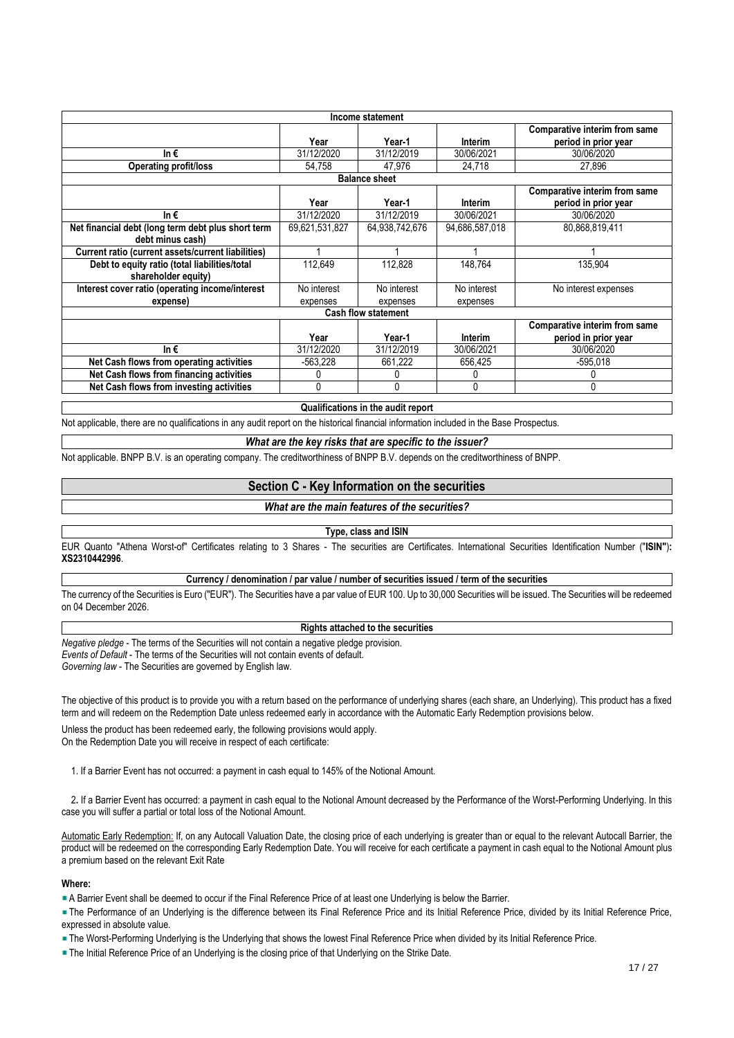| Income statement                                   |                |                            |                |                                      |  |  |
|----------------------------------------------------|----------------|----------------------------|----------------|--------------------------------------|--|--|
| <b>Comparative interim from same</b>               |                |                            |                |                                      |  |  |
|                                                    | Year           | Year-1                     | Interim        | period in prior year                 |  |  |
| In€                                                | 31/12/2020     | 31/12/2019                 | 30/06/2021     | 30/06/2020                           |  |  |
| <b>Operating profit/loss</b>                       | 54.758         | 47.976                     | 24,718         | 27,896                               |  |  |
|                                                    |                | <b>Balance sheet</b>       |                |                                      |  |  |
|                                                    |                |                            |                | <b>Comparative interim from same</b> |  |  |
|                                                    | Year           | Year-1                     | Interim        | period in prior year                 |  |  |
| In€                                                | 31/12/2020     | 31/12/2019                 | 30/06/2021     | 30/06/2020                           |  |  |
| Net financial debt (long term debt plus short term | 69,621,531,827 | 64.938.742.676             | 94,686,587,018 | 80,868,819,411                       |  |  |
| debt minus cash)                                   |                |                            |                |                                      |  |  |
| Current ratio (current assets/current liabilities) |                |                            |                |                                      |  |  |
| Debt to equity ratio (total liabilities/total      | 112.649        | 112.828                    | 148.764        | 135,904                              |  |  |
| shareholder equity)                                |                |                            |                |                                      |  |  |
| Interest cover ratio (operating income/interest    | No interest    | No interest                | No interest    | No interest expenses                 |  |  |
| expense)                                           | expenses       | expenses                   | expenses       |                                      |  |  |
|                                                    |                | <b>Cash flow statement</b> |                |                                      |  |  |
|                                                    |                |                            |                | Comparative interim from same        |  |  |
|                                                    | Year           | Year-1                     | Interim        | period in prior year                 |  |  |
| In€                                                | 31/12/2020     | 31/12/2019                 | 30/06/2021     | 30/06/2020                           |  |  |
| Net Cash flows from operating activities           | -563.228       | 661,222                    | 656.425        | $-595.018$                           |  |  |
| Net Cash flows from financing activities           |                |                            | 0              |                                      |  |  |
| Net Cash flows from investing activities           | 0              | O                          | $\Omega$       | Λ                                    |  |  |
|                                                    |                |                            |                |                                      |  |  |

**Qualifications in the audit report**

Not applicable, there are no qualifications in any audit report on the historical financial information included in the Base Prospectus.

## *What are the key risks that are specific to the issuer?*

Not applicable. BNPP B.V. is an operating company. The creditworthiness of BNPP B.V. depends on the creditworthiness of BNPP.

## **Section C - Key Information on the securities**

## *What are the main features of the securities?*

## **Type, class and ISIN**

EUR Quanto "Athena Worst-of" Certificates relating to 3 Shares - The securities are Certificates. International Securities Identification Number ("**ISIN"**)**: XS2310442996**.

## **Currency / denomination / par value / number of securities issued / term of the securities**

The currency of the Securities is Euro ("EUR"). The Securities have a par value of EUR 100. Up to 30,000 Securities will be issued. The Securities will be redeemed on 04 December 2026.

# **Rights attached to the securities**

*Negative pledge* - The terms of the Securities will not contain a negative pledge provision. *Events of Default* - The terms of the Securities will not contain events of default. *Governing law* - The Securities are governed by English law.

The objective of this product is to provide you with a return based on the performance of underlying shares (each share, an Underlying). This product has a fixed term and will redeem on the Redemption Date unless redeemed early in accordance with the Automatic Early Redemption provisions below.

Unless the product has been redeemed early, the following provisions would apply. On the Redemption Date you will receive in respect of each certificate:

1. If a Barrier Event has not occurred: a payment in cash equal to 145% of the Notional Amount.

 2**.** If a Barrier Event has occurred: a payment in cash equal to the Notional Amount decreased by the Performance of the Worst-Performing Underlying. In this case you will suffer a partial or total loss of the Notional Amount.

Automatic Early Redemption: If, on any Autocall Valuation Date, the closing price of each underlying is greater than or equal to the relevant Autocall Barrier, the product will be redeemed on the corresponding Early Redemption Date. You will receive for each certificate a payment in cash equal to the Notional Amount plus a premium based on the relevant Exit Rate

## **Where:**

A Barrier Event shall be deemed to occur if the Final Reference Price of at least one Underlying is below the Barrier.

The Performance of an Underlying is the difference between its Final Reference Price and its Initial Reference Price, divided by its Initial Reference Price, expressed in absolute value.

The Worst-Performing Underlying is the Underlying that shows the lowest Final Reference Price when divided by its Initial Reference Price.

The Initial Reference Price of an Underlying is the closing price of that Underlying on the Strike Date.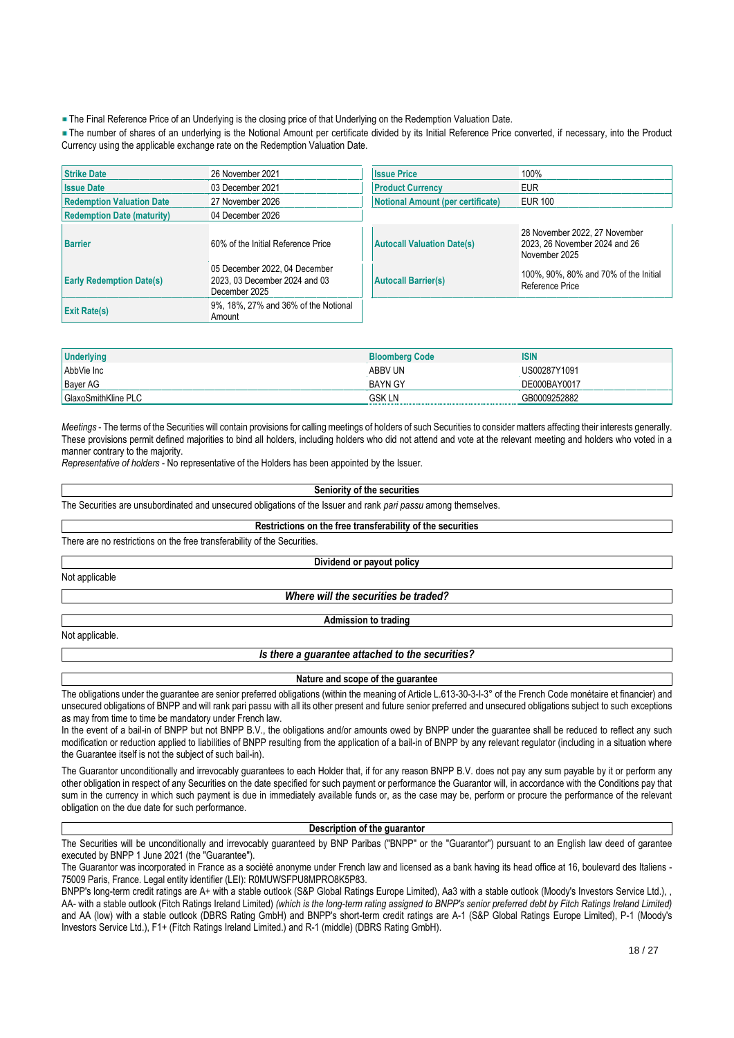The Final Reference Price of an Underlying is the closing price of that Underlying on the Redemption Valuation Date.

The number of shares of an underlying is the Notional Amount per certificate divided by its Initial Reference Price converted, if necessary, into the Product Currency using the applicable exchange rate on the Redemption Valuation Date.

| <b>Strike Date</b>                | 26 November 2021                                                                | <b>Issue Price</b>                       | 100%                                                                            |
|-----------------------------------|---------------------------------------------------------------------------------|------------------------------------------|---------------------------------------------------------------------------------|
| <b>Issue Date</b>                 | 03 December 2021                                                                | <b>Product Currency</b>                  | <b>EUR</b>                                                                      |
| <b>Redemption Valuation Date</b>  | 27 November 2026                                                                | <b>Notional Amount (per certificate)</b> | <b>EUR 100</b>                                                                  |
| <b>Redemption Date (maturity)</b> | 04 December 2026                                                                |                                          |                                                                                 |
| <b>Barrier</b>                    | 60% of the Initial Reference Price                                              | <b>Autocall Valuation Date(s)</b>        | 28 November 2022, 27 November<br>2023, 26 November 2024 and 26<br>November 2025 |
| <b>Early Redemption Date(s)</b>   | 05 December 2022, 04 December<br>2023, 03 December 2024 and 03<br>December 2025 | <b>Autocall Barrier(s)</b>               | 100%, 90%, 80% and 70% of the Initial<br>Reference Price                        |
| <b>Exit Rate(s)</b>               | 9%, 18%, 27% and 36% of the Notional<br>Amount                                  |                                          |                                                                                 |

| <b>Underlying</b>   | <b>Bloomberg Code</b> | <b>ISIN</b>  |
|---------------------|-----------------------|--------------|
| AbbVie Inc          | ABBV UN               | JS00287Y1091 |
| <b>Bayer AG</b>     | <b>BAYN GY</b>        | DE000BAY0017 |
| GlaxoSmithKline PLC | GSK I<br>- 17         | 009252882    |

*Meetings* - The terms of the Securities will contain provisions for calling meetings of holders of such Securities to consider matters affecting their interests generally. These provisions permit defined majorities to bind all holders, including holders who did not attend and vote at the relevant meeting and holders who voted in a manner contrary to the majority.

*Representative of holders* - No representative of the Holders has been appointed by the Issuer.

#### **Seniority of the securities**

The Securities are unsubordinated and unsecured obligations of the Issuer and rank *pari passu* among themselves.

#### **Restrictions on the free transferability of the securities**

There are no restrictions on the free transferability of the Securities.

**Dividend or payout policy**

Not applicable

*Where will the securities be traded?*

**Admission to trading**

Not applicable.

## *Is there a guarantee attached to the securities?*

#### **Nature and scope of the guarantee**

The obligations under the guarantee are senior preferred obligations (within the meaning of Article L.613-30-3-I-3° of the French Code monétaire et financier) and unsecured obligations of BNPP and will rank pari passu with all its other present and future senior preferred and unsecured obligations subject to such exceptions as may from time to time be mandatory under French law.

In the event of a bail-in of BNPP but not BNPP B.V., the obligations and/or amounts owed by BNPP under the quarantee shall be reduced to reflect any such modification or reduction applied to liabilities of BNPP resulting from the application of a bail-in of BNPP by any relevant regulator (including in a situation where the Guarantee itself is not the subject of such bail-in).

The Guarantor unconditionally and irrevocably guarantees to each Holder that, if for any reason BNPP B.V. does not pay any sum payable by it or perform any other obligation in respect of any Securities on the date specified for such payment or performance the Guarantor will, in accordance with the Conditions pay that sum in the currency in which such payment is due in immediately available funds or, as the case may be, perform or procure the performance of the relevant obligation on the due date for such performance.

#### **Description of the guarantor**

The Securities will be unconditionally and irrevocably guaranteed by BNP Paribas ("BNPP" or the "Guarantor") pursuant to an English law deed of garantee executed by BNPP 1 June 2021 (the "Guarantee").

The Guarantor was incorporated in France as a société anonyme under French law and licensed as a bank having its head office at 16, boulevard des Italiens -75009 Paris, France. Legal entity identifier (LEI): R0MUWSFPU8MPRO8K5P83.

BNPP's long-term credit ratings are A+ with a stable outlook (S&P Global Ratings Europe Limited), Aa3 with a stable outlook (Moody's Investors Service Ltd.), , AA- with a stable outlook (Fitch Ratings Ireland Limited) *(which is the long-term rating assigned to BNPP's senior preferred debt by Fitch Ratings Ireland Limited)* and AA (low) with a stable outlook (DBRS Rating GmbH) and BNPP's short-term credit ratings are A-1 (S&P Global Ratings Europe Limited), P-1 (Moody's Investors Service Ltd.), F1+ (Fitch Ratings Ireland Limited.) and R-1 (middle) (DBRS Rating GmbH).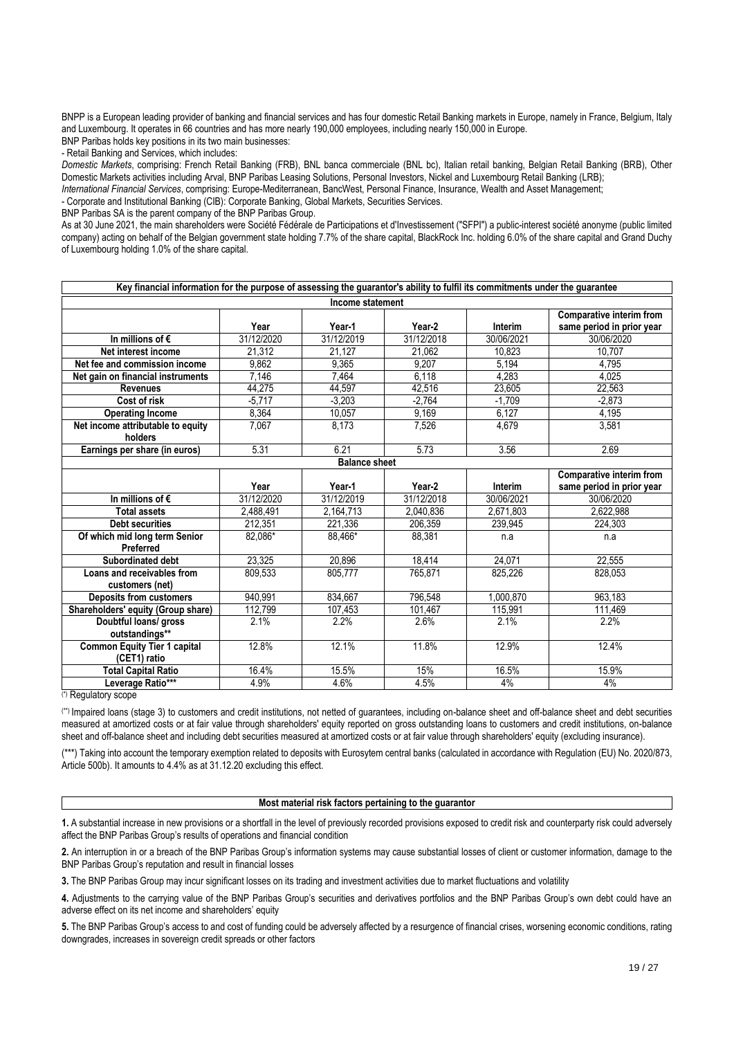BNPP is a European leading provider of banking and financial services and has four domestic Retail Banking markets in Europe, namely in France, Belgium, Italy and Luxembourg. It operates in 66 countries and has more nearly 190,000 employees, including nearly 150,000 in Europe.

BNP Paribas holds key positions in its two main businesses:

- Retail Banking and Services, which includes:

*Domestic Markets*, comprising: French Retail Banking (FRB), BNL banca commerciale (BNL bc), Italian retail banking, Belgian Retail Banking (BRB), Other Domestic Markets activities including Arval, BNP Paribas Leasing Solutions, Personal Investors, Nickel and Luxembourg Retail Banking (LRB);

*International Financial Services*, comprising: Europe-Mediterranean, BancWest, Personal Finance, Insurance, Wealth and Asset Management; - Corporate and Institutional Banking (CIB): Corporate Banking, Global Markets, Securities Services.

BNP Paribas SA is the parent company of the BNP Paribas Group.

As at 30 June 2021, the main shareholders were Société Fédérale de Participations et d'Investissement ("SFPI") a public-interest société anonyme (public limited company) acting on behalf of the Belgian government state holding 7.7% of the share capital, BlackRock Inc. holding 6.0% of the share capital and Grand Duchy of Luxembourg holding 1.0% of the share capital.

| Key financial information for the purpose of assessing the guarantor's ability to fulfil its commitments under the guarantee |            |                      |            |                |                                 |
|------------------------------------------------------------------------------------------------------------------------------|------------|----------------------|------------|----------------|---------------------------------|
|                                                                                                                              |            | Income statement     |            |                |                                 |
|                                                                                                                              |            |                      |            |                | Comparative interim from        |
|                                                                                                                              | Year       | Year-1               | Year-2     | Interim        | same period in prior year       |
| In millions of $\epsilon$                                                                                                    | 31/12/2020 | 31/12/2019           | 31/12/2018 | 30/06/2021     | 30/06/2020                      |
| Net interest income                                                                                                          | 21.312     | 21,127               | 21.062     | 10.823         | 10,707                          |
| Net fee and commission income                                                                                                | 9.862      | 9,365                | 9.207      | 5,194          | 4,795                           |
| Net gain on financial instruments                                                                                            | 7,146      | 7,464                | 6,118      | 4,283          | 4,025                           |
| <b>Revenues</b>                                                                                                              | 44,275     | 44,597               | 42,516     | 23,605         | 22,563                          |
| Cost of risk                                                                                                                 | $-5,717$   | $-3,203$             | $-2,764$   | $-1,709$       | $-2,873$                        |
| <b>Operating Income</b>                                                                                                      | 8,364      | 10,057               | 9,169      | 6,127          | 4,195                           |
| Net income attributable to equity                                                                                            | 7,067      | 8,173                | 7,526      | 4,679          | 3,581                           |
| holders                                                                                                                      |            |                      |            |                |                                 |
| Earnings per share (in euros)                                                                                                | 5.31       | 6.21                 | 5.73       | 3.56           | 2.69                            |
|                                                                                                                              |            | <b>Balance sheet</b> |            |                |                                 |
|                                                                                                                              |            |                      |            |                | <b>Comparative interim from</b> |
|                                                                                                                              | Year       | Year-1               | Year-2     | <b>Interim</b> | same period in prior year       |
| In millions of $\epsilon$                                                                                                    | 31/12/2020 | 31/12/2019           | 31/12/2018 | 30/06/2021     | 30/06/2020                      |
| <b>Total assets</b>                                                                                                          | 2,488,491  | 2,164,713            | 2,040,836  | 2,671,803      | 2,622,988                       |
| <b>Debt securities</b>                                                                                                       | 212,351    | 221,336              | 206,359    | 239,945        | 224,303                         |
| Of which mid long term Senior                                                                                                | 82,086*    | 88,466*              | 88,381     | n.a            | n.a                             |
| Preferred                                                                                                                    |            |                      |            |                |                                 |
| Subordinated debt                                                                                                            | 23,325     | 20.896               | 18,414     | 24.071         | 22,555                          |
| Loans and receivables from                                                                                                   | 809,533    | 805,777              | 765,871    | 825,226        | 828,053                         |
| customers (net)                                                                                                              |            |                      |            |                |                                 |
| <b>Deposits from customers</b>                                                                                               | 940,991    | 834,667              | 796,548    | 1,000,870      | 963,183                         |
| Shareholders' equity (Group share)                                                                                           | 112,799    | 107,453              | 101,467    | 115,991        | 111,469                         |
| Doubtful loans/ gross                                                                                                        | 2.1%       | 2.2%                 | 2.6%       | 2.1%           | 2.2%                            |
| outstandings**                                                                                                               |            |                      |            |                |                                 |
| <b>Common Equity Tier 1 capital</b>                                                                                          | 12.8%      | 12.1%                | 11.8%      | 12.9%          | 12.4%                           |
| (CET1) ratio                                                                                                                 |            |                      |            |                |                                 |
| <b>Total Capital Ratio</b>                                                                                                   | 16.4%      | 15.5%                | 15%        | 16.5%          | 15.9%                           |
| Leverage Ratio***                                                                                                            | 4.9%       | 4.6%                 | 4.5%       | 4%             | 4%                              |

(\*) Regulatory scope

(\*\*) Impaired loans (stage 3) to customers and credit institutions, not netted of guarantees, including on-balance sheet and off-balance sheet and debt securities measured at amortized costs or at fair value through shareholders' equity reported on gross outstanding loans to customers and credit institutions, on-balance sheet and off-balance sheet and including debt securities measured at amortized costs or at fair value through shareholders' equity (excluding insurance).

(\*\*\*) Taking into account the temporary exemption related to deposits with Eurosytem central banks (calculated in accordance with Regulation (EU) No. 2020/873, Article 500b). It amounts to 4.4% as at 31.12.20 excluding this effect.

## **Most material risk factors pertaining to the guarantor**

**1.** A substantial increase in new provisions or a shortfall in the level of previously recorded provisions exposed to credit risk and counterparty risk could adversely affect the BNP Paribas Group's results of operations and financial condition

**2.** An interruption in or a breach of the BNP Paribas Group's information systems may cause substantial losses of client or customer information, damage to the BNP Paribas Group's reputation and result in financial losses

**3.** The BNP Paribas Group may incur significant losses on its trading and investment activities due to market fluctuations and volatility

**4.** Adjustments to the carrying value of the BNP Paribas Group's securities and derivatives portfolios and the BNP Paribas Group's own debt could have an adverse effect on its net income and shareholders' equity

**5.** The BNP Paribas Group's access to and cost of funding could be adversely affected by a resurgence of financial crises, worsening economic conditions, rating downgrades, increases in sovereign credit spreads or other factors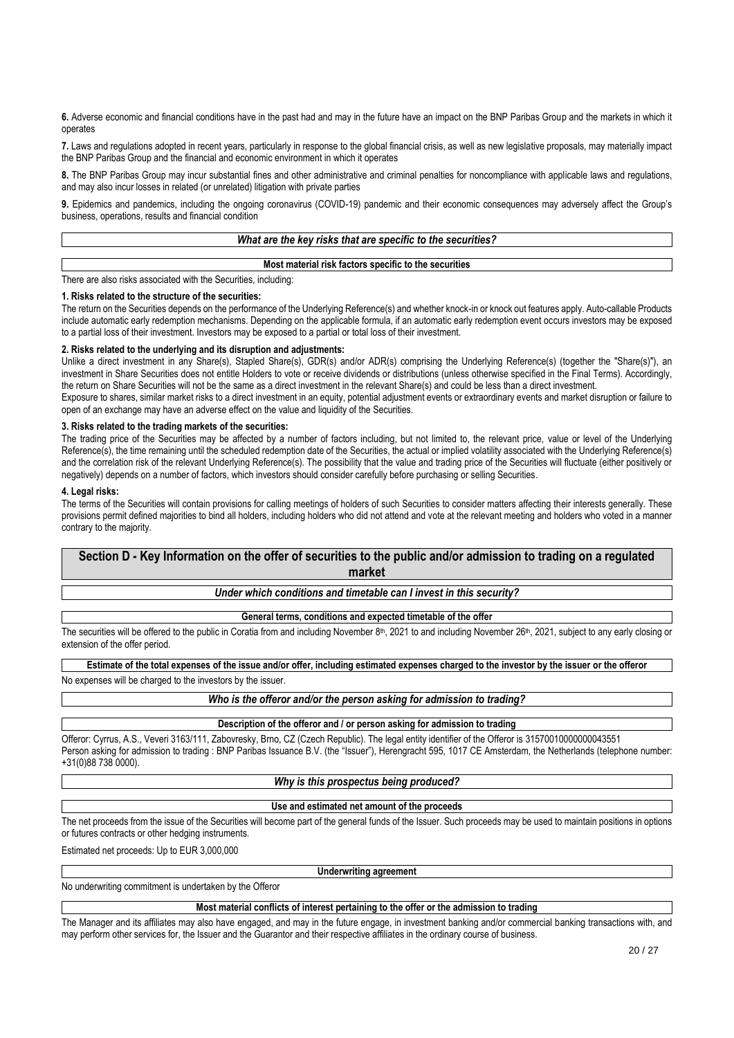**6.** Adverse economic and financial conditions have in the past had and may in the future have an impact on the BNP Paribas Group and the markets in which it operates

**7.** Laws and regulations adopted in recent years, particularly in response to the global financial crisis, as well as new legislative proposals, may materially impact the BNP Paribas Group and the financial and economic environment in which it operates

**8.** The BNP Paribas Group may incur substantial fines and other administrative and criminal penalties for noncompliance with applicable laws and regulations, and may also incur losses in related (or unrelated) litigation with private parties

**9.** Epidemics and pandemics, including the ongoing coronavirus (COVID-19) pandemic and their economic consequences may adversely affect the Group's business, operations, results and financial condition

## *What are the key risks that are specific to the securities?*

## **Most material risk factors specific to the securities**

There are also risks associated with the Securities, including:

#### **1. Risks related to the structure of the securities:**

The return on the Securities depends on the performance of the Underlying Reference(s) and whether knock-in or knock out features apply. Auto-callable Products include automatic early redemption mechanisms. Depending on the applicable formula, if an automatic early redemption event occurs investors may be exposed to a partial loss of their investment. Investors may be exposed to a partial or total loss of their investment.

## **2. Risks related to the underlying and its disruption and adjustments:**

Unlike a direct investment in any Share(s), Stapled Share(s), GDR(s) and/or ADR(s) comprising the Underlying Reference(s) (together the "Share(s)"), an investment in Share Securities does not entitle Holders to vote or receive dividends or distributions (unless otherwise specified in the Final Terms). Accordingly, the return on Share Securities will not be the same as a direct investment in the relevant Share(s) and could be less than a direct investment.

Exposure to shares, similar market risks to a direct investment in an equity, potential adjustment events or extraordinary events and market disruption or failure to open of an exchange may have an adverse effect on the value and liquidity of the Securities.

## **3. Risks related to the trading markets of the securities:**

The trading price of the Securities may be affected by a number of factors including, but not limited to, the relevant price, value or level of the Underlying Reference(s), the time remaining until the scheduled redemption date of the Securities, the actual or implied volatility associated with the Underlying Reference(s) and the correlation risk of the relevant Underlying Reference(s). The possibility that the value and trading price of the Securities will fluctuate (either positively or negatively) depends on a number of factors, which investors should consider carefully before purchasing or selling Securities.

## **4. Legal risks:**

The terms of the Securities will contain provisions for calling meetings of holders of such Securities to consider matters affecting their interests generally. These provisions permit defined majorities to bind all holders, including holders who did not attend and vote at the relevant meeting and holders who voted in a manner contrary to the majority.

# **Section D - Key Information on the offer of securities to the public and/or admission to trading on a regulated market**

*Under which conditions and timetable can I invest in this security?*

**General terms, conditions and expected timetable of the offer**

The securities will be offered to the public in Coratia from and including November 8<sup>th</sup>, 2021 to and including November 26<sup>th</sup>, 2021, subject to any early closing or extension of the offer period.

**Estimate of the total expenses of the issue and/or offer, including estimated expenses charged to the investor by the issuer or the offeror** No expenses will be charged to the investors by the issuer.

*Who is the offeror and/or the person asking for admission to trading?*

**Description of the offeror and / or person asking for admission to trading**

Offeror: Cyrrus, A.S., Veveri 3163/111, Zabovresky, Brno, CZ (Czech Republic). The legal entity identifier of the Offeror is 31570010000000043551 Person asking for admission to trading : BNP Paribas Issuance B.V. (the "Issuer"), Herengracht 595, 1017 CE Amsterdam, the Netherlands (telephone number: +31(0)88 738 0000).

## *Why is this prospectus being produced?*

## **Use and estimated net amount of the proceeds**

The net proceeds from the issue of the Securities will become part of the general funds of the Issuer. Such proceeds may be used to maintain positions in options or futures contracts or other hedging instruments.

Estimated net proceeds: Up to EUR 3,000,000

#### **Underwriting agreement**

No underwriting commitment is undertaken by the Offeror

### **Most material conflicts of interest pertaining to the offer or the admission to trading**

The Manager and its affiliates may also have engaged, and may in the future engage, in investment banking and/or commercial banking transactions with, and may perform other services for, the Issuer and the Guarantor and their respective affiliates in the ordinary course of business.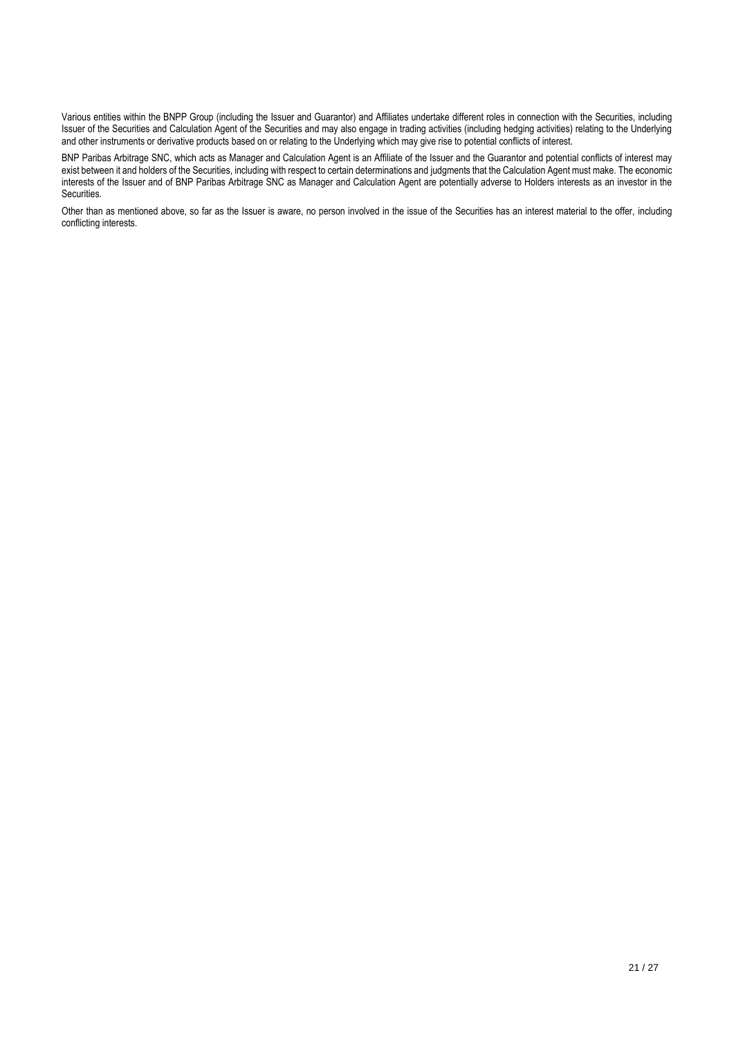Various entities within the BNPP Group (including the Issuer and Guarantor) and Affiliates undertake different roles in connection with the Securities, including Issuer of the Securities and Calculation Agent of the Securities and may also engage in trading activities (including hedging activities) relating to the Underlying and other instruments or derivative products based on or relating to the Underlying which may give rise to potential conflicts of interest.

BNP Paribas Arbitrage SNC, which acts as Manager and Calculation Agent is an Affiliate of the Issuer and the Guarantor and potential conflicts of interest may exist between it and holders of the Securities, including with respect to certain determinations and judgments that the Calculation Agent must make. The economic interests of the Issuer and of BNP Paribas Arbitrage SNC as Manager and Calculation Agent are potentially adverse to Holders interests as an investor in the Securities.

Other than as mentioned above, so far as the Issuer is aware, no person involved in the issue of the Securities has an interest material to the offer, including conflicting interests.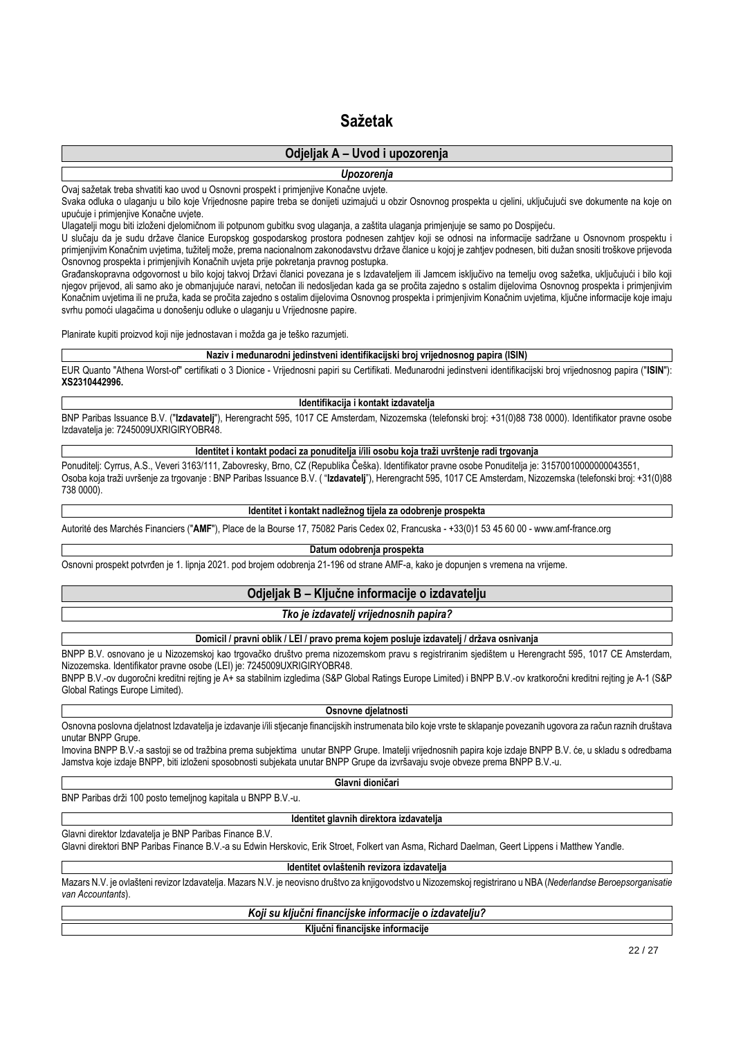# **Sažetak**

# **Odjeljak A – Uvod i upozorenja**

*Upozorenja*

Ovaj sažetak treba shvatiti kao uvod u Osnovni prospekt i primjenjive Konačne uvjete.

Svaka odluka o ulaganju u bilo koje Vrijednosne papire treba se donijeti uzimajući u obzir Osnovnog prospekta u cjelini, uključujući sve dokumente na koje on upućuje i primjenjive Konačne uvjete.

Ulagatelji mogu biti izloženi djelomičnom ili potpunom gubitku svog ulaganja, a zaštita ulaganja primjenjuje se samo po Dospijeću.

U slučaju da je sudu države članice Europskog gospodarskog prostora podnesen zahtjev koji se odnosi na informacije sadržane u Osnovnom prospektu i primjenjivim Konačnim uvjetima, tužitelj može, prema nacionalnom zakonodavstvu države članice u kojoj je zahtjev podnesen, biti dužan snositi troškove prijevoda Osnovnog prospekta i primjenjivih Konačnih uvjeta prije pokretanja pravnog postupka.

Građanskopravna odgovornost u bilo kojoj takvoj Državi članici povezana je s Izdavateljem ili Jamcem isključivo na temelju ovog sažetka, uključujući i bilo koji njegov prijevod, ali samo ako je obmanjujuće naravi, netočan ili nedosljedan kada ga se pročita zajedno s ostalim dijelovima Osnovnog prospekta i primjenjivim Konačnim uvjetima ili ne pruža, kada se pročita zajedno s ostalim dijelovima Osnovnog prospekta i primjenjivim Konačnim uvjetima, ključne informacije koje imaju svrhu pomoći ulagačima u donošenju odluke o ulaganju u Vrijednosne papire.

Planirate kupiti proizvod koji nije jednostavan i možda ga je teško razumjeti.

#### **Naziv i međunarodni jedinstveni identifikacijski broj vrijednosnog papira (ISIN)**

EUR Quanto "Athena Worst-of" certifikati o 3 Dionice - Vrijednosni papiri su Certifikati. Međunarodni jedinstveni identifikacijski broj vrijednosnog papira ("**ISIN**"): **XS2310442996.**

## **Identifikacija i kontakt izdavatelja**

BNP Paribas Issuance B.V. ("**Izdavatelj**"), Herengracht 595, 1017 CE Amsterdam, Nizozemska (telefonski broj: +31(0)88 738 0000). Identifikator pravne osobe Izdavatelja je: 7245009UXRIGIRYOBR48.

# **Identitet i kontakt podaci za ponuditelja i/ili osobu koja traži uvrštenje radi trgovanja**

Ponuditelj: Cyrrus, A.S., Veveri 3163/111, Zabovresky, Brno, CZ (Republika Češka). Identifikator pravne osobe Ponuditelja je: 31570010000000043551, Osoba koja traži uvršenje za trgovanje : BNP Paribas Issuance B.V. ( "**Izdavatelj**"), Herengracht 595, 1017 CE Amsterdam, Nizozemska (telefonski broj: +31(0)88 738 0000).

#### **Identitet i kontakt nadležnog tijela za odobrenje prospekta**

Autorité des Marchés Financiers ("**AMF**"), Place de la Bourse 17, 75082 Paris Cedex 02, Francuska - +33(0)1 53 45 60 00 - www.amf-france.org

#### **Datum odobrenja prospekta**

Osnovni prospekt potvrđen je 1. lipnja 2021. pod brojem odobrenja 21-196 od strane AMF-a, kako je dopunjen s vremena na vrijeme.

# **Odjeljak B – Ključne informacije o izdavatelju**

## *Tko je izdavatelj vrijednosnih papira?*

### **Domicil / pravni oblik / LEI / pravo prema kojem posluje izdavatelj / država osnivanja**

BNPP B.V. osnovano je u Nizozemskoj kao trgovačko društvo prema nizozemskom pravu s registriranim sjedištem u Herengracht 595, 1017 CE Amsterdam, Nizozemska. Identifikator pravne osobe (LEI) je: 7245009UXRIGIRYOBR48.

BNPP B.V.-ov dugoročni kreditni rejting je A+ sa stabilnim izgledima (S&P Global Ratings Europe Limited) i BNPP B.V.-ov kratkoročni kreditni rejting je A-1 (S&P Global Ratings Europe Limited).

**Osnovne djelatnosti**

Osnovna poslovna djelatnost Izdavatelja je izdavanje i/ili stjecanje financijskih instrumenata bilo koje vrste te sklapanje povezanih ugovora za račun raznih društava unutar BNPP Grupe.

Imovina BNPP B.V.-a sastoji se od tražbina prema subjektima unutar BNPP Grupe. Imatelji vrijednosnih papira koje izdaje BNPP B.V. će, u skladu s odredbama Jamstva koje izdaje BNPP, biti izloženi sposobnosti subjekata unutar BNPP Grupe da izvršavaju svoje obveze prema BNPP B.V.-u.

**Glavni dioničari**

BNP Paribas drži 100 posto temeljnog kapitala u BNPP B.V.-u.

## **Identitet glavnih direktora izdavatelja**

Glavni direktor Izdavatelja je BNP Paribas Finance B.V.

Glavni direktori BNP Paribas Finance B.V.-a su Edwin Herskovic, Erik Stroet, Folkert van Asma, Richard Daelman, Geert Lippens i Matthew Yandle.

**Identitet ovlaštenih revizora izdavatelja**

Mazars N.V. je ovlašteni revizor Izdavatelja. Mazars N.V. je neovisno društvo za knjigovodstvo u Nizozemskoj registrirano u NBA (*Nederlandse Beroepsorganisatie van Accountants*).

*Koji su ključni financijske informacije o izdavatelju?*

**Ključni financijske informacije**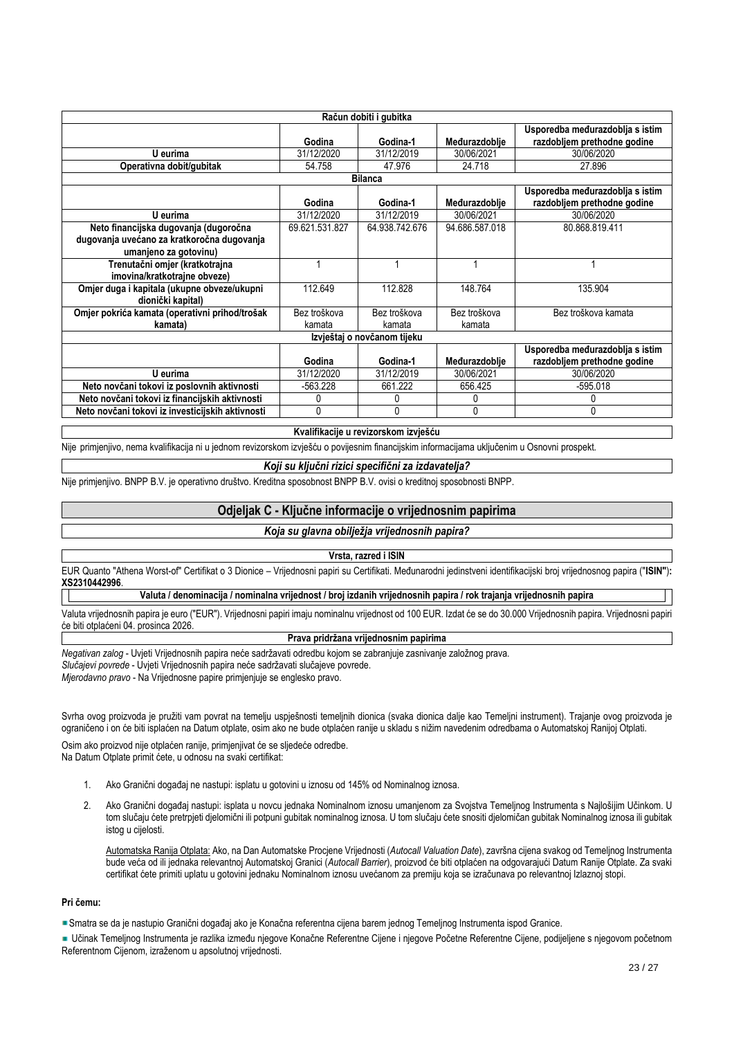| Račun dobiti i gubitka                           |                                 |                |                |                                 |  |  |  |
|--------------------------------------------------|---------------------------------|----------------|----------------|---------------------------------|--|--|--|
|                                                  | Usporedba međurazdoblja s istim |                |                |                                 |  |  |  |
|                                                  | Godina                          | Godina-1       | Međurazdoblje  | razdobljem prethodne godine     |  |  |  |
| U eurima                                         | 31/12/2020                      | 31/12/2019     | 30/06/2021     | 30/06/2020                      |  |  |  |
| Operativna dobit/qubitak                         | 54.758                          | 47.976         | 24.718         | 27.896                          |  |  |  |
|                                                  |                                 | <b>Bilanca</b> |                |                                 |  |  |  |
|                                                  |                                 |                |                | Usporedba međurazdoblja s istim |  |  |  |
|                                                  | Godina                          | Godina-1       | Međurazdoblje  | razdobljem prethodne godine     |  |  |  |
| U eurima                                         | 31/12/2020                      | 31/12/2019     | 30/06/2021     | 30/06/2020                      |  |  |  |
| Neto financijska dugovanja (dugoročna            | 69.621.531.827                  | 64.938.742.676 | 94.686.587.018 | 80.868.819.411                  |  |  |  |
| dugovanja uvećano za kratkoročna dugovanja       |                                 |                |                |                                 |  |  |  |
| umanjeno za gotovinu)                            |                                 |                |                |                                 |  |  |  |
| Trenutačni omjer (kratkotrajna                   |                                 |                |                |                                 |  |  |  |
| imovina/kratkotrajne obveze)                     |                                 |                |                |                                 |  |  |  |
| Omjer duga i kapitala (ukupne obveze/ukupni      | 112.649                         | 112.828        | 148.764        | 135.904                         |  |  |  |
| dionički kapital)                                |                                 |                |                |                                 |  |  |  |
| Omjer pokrića kamata (operativni prihod/trošak   | Bez troškova                    | Bez troškova   | Bez troškova   | Bez troškova kamata             |  |  |  |
| kamata)                                          | kamata                          | kamata         | kamata         |                                 |  |  |  |
| Izvještaj o novčanom tijeku                      |                                 |                |                |                                 |  |  |  |
|                                                  |                                 |                |                | Usporedba međurazdoblja s istim |  |  |  |
|                                                  | Godina                          | Godina-1       | Međurazdoblje  | razdobljem prethodne godine     |  |  |  |
| U eurima                                         | 31/12/2020                      | 31/12/2019     | 30/06/2021     | 30/06/2020                      |  |  |  |
| Neto novčani tokovi iz poslovnih aktivnosti      | $-563.228$                      | 661.222        | 656.425        | $-595.018$                      |  |  |  |
| Neto novčani tokovi iz financijskih aktivnosti   | 0                               |                | 0              |                                 |  |  |  |
| Neto novčani tokovi iz investicijskih aktivnosti | 0                               | 0              | 0              | 0                               |  |  |  |

## **Kvalifikacije u revizorskom izvješću**

Nije primjenjivo, nema kvalifikacija ni u jednom revizorskom izvješću o povijesnim financijskim informacijama uključenim u Osnovni prospekt.

# *Koji su ključni rizici specifični za izdavatelja?*

Nije primjenjivo. BNPP B.V. je operativno društvo. Kreditna sposobnost BNPP B.V. ovisi o kreditnoj sposobnosti BNPP.

## **Odjeljak C - Ključne informacije o vrijednosnim papirima**

# *Koja su glavna obilježja vrijednosnih papira?*

#### **Vrsta, razred i ISIN**

EUR Quanto "Athena Worst-of" Certifikat o 3 Dionice – Vrijednosni papiri su Certifikati. Međunarodni jedinstveni identifikacijski broj vrijednosnog papira ("**ISIN"**)**: XS2310442996**.

**Valuta / denominacija / nominalna vrijednost / broj izdanih vrijednosnih papira / rok trajanja vrijednosnih papira**

Valuta vrijednosnih papira je euro ("EUR"). Vrijednosni papiri imaju nominalnu vrijednost od 100 EUR. Izdat će se do 30.000 Vrijednosnih papira. Vrijednosni papiri će biti otplaćeni 04. prosinca 2026.

# **Prava pridržana vrijednosnim papirima**

*Negativan zalog* - Uvjeti Vrijednosnih papira neće sadržavati odredbu kojom se zabranjuje zasnivanje založnog prava. *Slučajevi povrede* - Uvjeti Vrijednosnih papira neće sadržavati slučajeve povrede. *Mjerodavno pravo* - Na Vrijednosne papire primjenjuje se englesko pravo.

Svrha ovog proizvoda je pružiti vam povrat na temelju uspješnosti temeljnih dionica (svaka dionica dalje kao Temeljni instrument). Trajanje ovog proizvoda je ograničeno i on će biti isplaćen na Datum otplate, osim ako ne bude otplaćen ranije u skladu s nižim navedenim odredbama o Automatskoj Ranijoj Otplati.

Osim ako proizvod nije otplaćen ranije, primjenjivat će se sljedeće odredbe. Na Datum Otplate primit ćete, u odnosu na svaki certifikat:

- 1. Ako Granični događaj ne nastupi: isplatu u gotovini u iznosu od 145% od Nominalnog iznosa.
- 2. Ako Granični događaj nastupi: isplata u novcu jednaka Nominalnom iznosu umanjenom za Svojstva Temeljnog Instrumenta s Najlošijim Učinkom. U tom slučaju ćete pretrpjeti djelomični ili potpuni gubitak nominalnog iznosa. U tom slučaju ćete snositi djelomičan gubitak Nominalnog iznosa ili gubitak istog u cijelosti.

Automatska Ranija Otplata: Ako, na Dan Automatske Procjene Vrijednosti (*Autocall Valuation Date*), završna cijena svakog od Temeljnog Instrumenta bude veća od ili jednaka relevantnoj Automatskoj Granici (*Autocall Barrier*), proizvod će biti otplaćen na odgovarajući Datum Ranije Otplate. Za svaki certifikat ćete primiti uplatu u gotovini jednaku Nominalnom iznosu uvećanom za premiju koja se izračunava po relevantnoj Izlaznoj stopi.

#### **Pri čemu:**

Smatra se da je nastupio Granični događaj ako je Konačna referentna cijena barem jednog Temeljnog Instrumenta ispod Granice.

Učinak Temeljnog Instrumenta je razlika između njegove Konačne Referentne Cijene i njegove Početne Referentne Cijene, podijeljene s njegovom početnom Referentnom Cijenom, izraženom u apsolutnoj vrijednosti.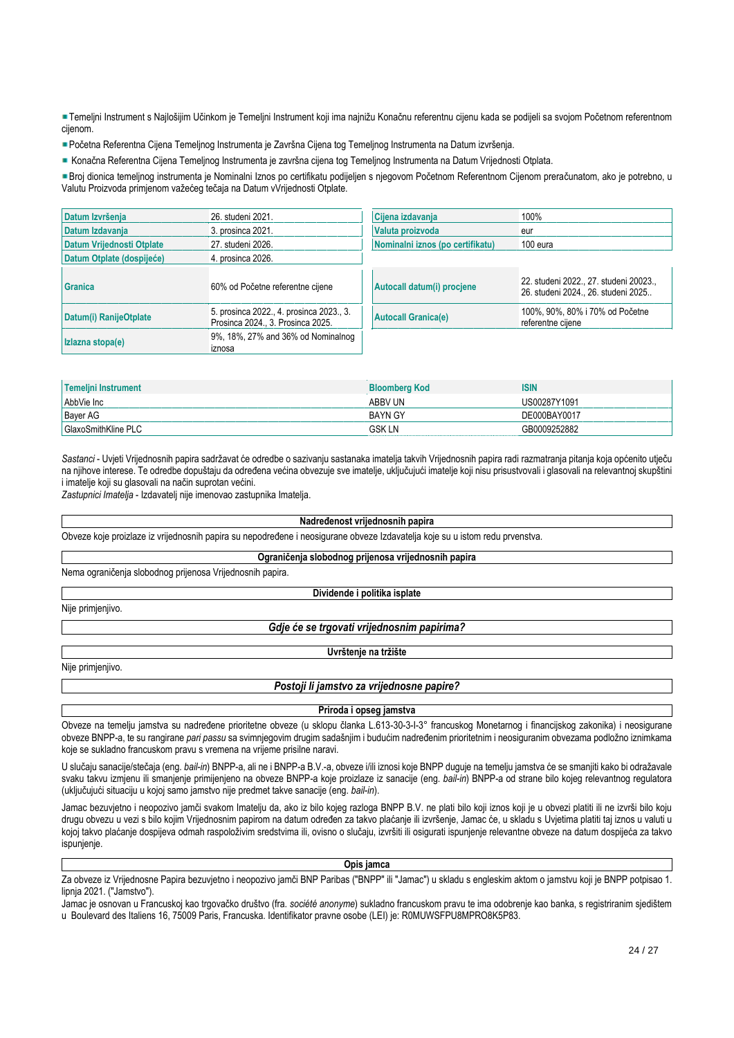Temeljni Instrument s Najlošijim Učinkom je Temeljni Instrument koji ima najnižu Konačnu referentnu cijenu kada se podijeli sa svojom Početnom referentnom cijenom.

Početna Referentna Cijena Temeljnog Instrumenta je Završna Cijena tog Temeljnog Instrumenta na Datum izvršenja.

Konačna Referentna Cijena Temeljnog Instrumenta je završna cijena tog Temeljnog Instrumenta na Datum Vrijednosti Otplata.

Broj dionica temeljnog instrumenta je Nominalni Iznos po certifikatu podijeljen s njegovom Početnom Referentnom Cijenom preračunatom, ako je potrebno, u Valutu Proizvoda primjenom važećeg tečaja na Datum vVrijednosti Otplate.

| Datum Izvršenja           | 26. studeni 2021.                                                             | Cijena izdavanja                 | 100%                                                                          |
|---------------------------|-------------------------------------------------------------------------------|----------------------------------|-------------------------------------------------------------------------------|
| Datum Izdavanja           | 3. prosinca 2021.                                                             | Valuta proizvoda                 | eur                                                                           |
| Datum Vrijednosti Otplate | 27. studeni 2026.                                                             | Nominalni iznos (po certifikatu) | 100 eura                                                                      |
| Datum Otplate (dospijeće) | 4. prosinca 2026.                                                             |                                  |                                                                               |
| Granica                   | 60% od Početne referentne cijene                                              | Autocall datum(i) procjene       | 22. studeni 2022., 27. studeni 20023.,<br>26. studeni 2024., 26. studeni 2025 |
| Datum(i) RanijeOtplate    | 5. prosinca 2022., 4. prosinca 2023., 3.<br>Prosinca 2024., 3. Prosinca 2025. | <b>Autocall Granica(e)</b>       | 100%, 90%, 80% i 70% od Početne<br>referentne cijene                          |
| Izlazna stopa(e)          | 9%, 18%, 27% and 36% od Nominalnog<br>iznosa                                  |                                  |                                                                               |

| Temelini Instrument | <b>Bloomberg Kod</b> | <b>ISIN</b>  |
|---------------------|----------------------|--------------|
| AbbVie Inc          | ABBV UN              | US00287Y1091 |
| <b>Bayer AG</b>     | <b>BAYN GY</b>       | DE000BAY0017 |
| GlaxoSmithKline PLC | GSK LN               | GB0009252882 |

*Sastanci* - Uvjeti Vrijednosnih papira sadržavat će odredbe o sazivanju sastanaka imatelja takvih Vrijednosnih papira radi razmatranja pitanja koja općenito utječu na njihove interese. Te odredbe dopuštaju da određena većina obvezuje sve imatelje, uključujući imatelje koji nisu prisustvovali i glasovali na relevantnoj skupštini i imatelje koji su glasovali na način suprotan većini.

*Zastupnici Imatelja* - Izdavatelj nije imenovao zastupnika Imatelja.

#### **Nadređenost vrijednosnih papira**

Obveze koje proizlaze iz vrijednosnih papira su nepodređene i neosigurane obveze Izdavatelja koje su u istom redu prvenstva.

**Ograničenja slobodnog prijenosa vrijednosnih papira**

Nema ograničenja slobodnog prijenosa Vrijednosnih papira.

## **Dividende i politika isplate**

Nije primjenjivo.

*Gdje će se trgovati vrijednosnim papirima?*

## **Uvrštenje na tržište**

Nije primjenjivo.

# *Postoji li jamstvo za vrijednosne papire?*

**Priroda i opseg jamstva**

Obveze na temelju jamstva su nadređene prioritetne obveze (u sklopu članka L.613-30-3-I-3° francuskog Monetarnog i financijskog zakonika) i neosigurane obveze BNPP-a, te su rangirane *pari passu* sa svimnjegovim drugim sadašnjim i budućim nadređenim prioritetnim i neosiguranim obvezama podložno iznimkama koje se sukladno francuskom pravu s vremena na vrijeme prisilne naravi.

U slučaju sanacije/stečaja (eng. *bail-in*) BNPP-a, ali ne i BNPP-a B.V.-a, obveze i/ili iznosi koje BNPP duguje na temelju jamstva će se smanjiti kako bi odražavale svaku takvu izmjenu ili smanjenje primijenjeno na obveze BNPP-a koje proizlaze iz sanacije (eng. *bail-in*) BNPP-a od strane bilo kojeg relevantnog regulatora (uključujući situaciju u kojoj samo jamstvo nije predmet takve sanacije (eng. *bail-in*).

Jamac bezuvjetno i neopozivo jamči svakom Imatelju da, ako iz bilo kojeg razloga BNPP B.V. ne plati bilo koji iznos koji je u obvezi platiti ili ne izvrši bilo koju drugu obvezu u vezi s bilo kojim Vrijednosnim papirom na datum određen za takvo plaćanje ili izvršenje, Jamac će, u skladu s Uvjetima platiti taj iznos u valuti u kojoj takvo plaćanje dospijeva odmah raspoloživim sredstvima ili, ovisno o slučaju, izvršiti ili osigurati ispunjenje relevantne obveze na datum dospijeća za takvo ispunjenje.

#### **Opis jamca**

Za obveze iz Vrijednosne Papira bezuvjetno i neopozivo jamči BNP Paribas ("BNPP" ili "Jamac") u skladu s engleskim aktom o jamstvu koji je BNPP potpisao 1. lipnja 2021. ("Jamstvo").

Jamac je osnovan u Francuskoj kao trgovačko društvo (fra. *société anonyme*) sukladno francuskom pravu te ima odobrenje kao banka, s registriranim sjedištem u Boulevard des Italiens 16, 75009 Paris, Francuska. Identifikator pravne osobe (LEI) je: R0MUWSFPU8MPRO8K5P83.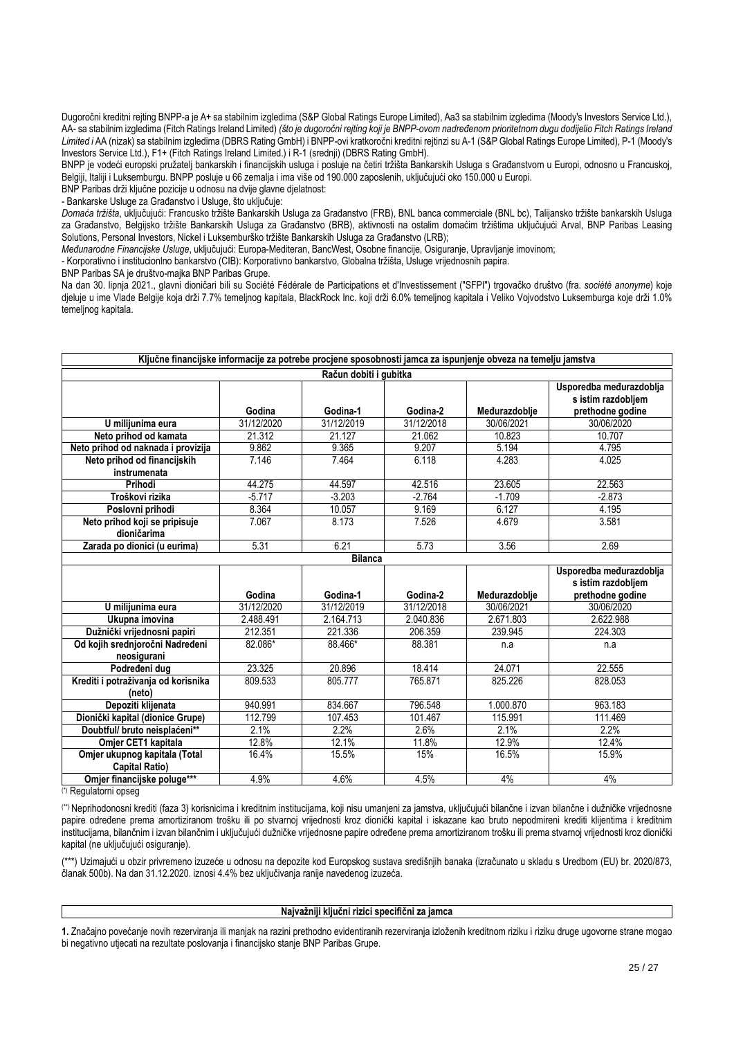Dugoročni kreditni rejting BNPP-a je A+ sa stabilnim izgledima (S&P Global Ratings Europe Limited), Aa3 sa stabilnim izgledima (Moody's Investors Service Ltd.), AA- sa stabilnim izgledima (Fitch Ratings Ireland Limited) *(što je dugoročni rejting koji je BNPP-ovom nadređenom prioritetnom dugu dodijelio Fitch Ratings Ireland Limited i* AA (nizak) sa stabilnim izgledima (DBRS Rating GmbH) i BNPP-ovi kratkoročni kreditni rejtinzi su A-1 (S&P Global Ratings Europe Limited), P-1 (Moody's Investors Service Ltd.), F1+ (Fitch Ratings Ireland Limited.) i R-1 (srednji) (DBRS Rating GmbH).

BNPP je vodeći europski pružatelj bankarskih i financijskih usluga i posluje na četiri tržišta Bankarskih Usluga s Građanstvom u Europi, odnosno u Francuskoj, Belgiji, Italiji i Luksemburgu. BNPP posluje u 66 zemalja i ima više od 190.000 zaposlenih, uključujući oko 150.000 u Europi.

BNP Paribas drži ključne pozicije u odnosu na dvije glavne djelatnost:

- Bankarske Usluge za Građanstvo i Usluge, što uključuje:

*Domaća tržišta*, uključujući: Francusko tržište Bankarskih Usluga za Građanstvo (FRB), BNL banca commerciale (BNL bc), Talijansko tržište bankarskih Usluga za Građanstvo, Belgijsko tržište Bankarskih Usluga za Građanstvo (BRB), aktivnosti na ostalim domaćim tržištima uključujući Arval, BNP Paribas Leasing Solutions, Personal Investors, Nickel i Luksemburško tržište Bankarskih Usluga za Građanstvo (LRB);

*Međunarodne Financijske Usluge*, uključujući: Europa-Mediteran, BancWest, Osobne financije, Osiguranje, Upravljanje imovinom;

- Korporativno i institucionlno bankarstvo (CIB): Korporativno bankarstvo, Globalna tržišta, Usluge vrijednosnih papira.

BNP Paribas SA je društvo-majka BNP Paribas Grupe.

Na dan 30. lipnja 2021., glavni dioničari bili su Société Fédérale de Participations et d'Investissement ("SFPI") trgovačko društvo (fra. *société anonyme*) koje djeluje u ime Vlade Belgije koja drži 7.7% temeljnog kapitala, BlackRock Inc. koji drži 6.0% temeljnog kapitala i Veliko Vojvodstvo Luksemburga koje drži 1.0% temeljnog kapitala.

| Ključne financijske informacije za potrebe procjene sposobnosti jamca za ispunjenje obveza na temelju jamstva |            |                |            |               |                                               |  |
|---------------------------------------------------------------------------------------------------------------|------------|----------------|------------|---------------|-----------------------------------------------|--|
| Račun dobiti i gubitka                                                                                        |            |                |            |               |                                               |  |
|                                                                                                               |            |                |            |               | Usporedba međurazdoblja<br>s istim razdobljem |  |
|                                                                                                               | Godina     | Godina-1       | Godina-2   | Međurazdoblje | prethodne godine                              |  |
| U milijunima eura                                                                                             | 31/12/2020 | 31/12/2019     | 31/12/2018 | 30/06/2021    | 30/06/2020                                    |  |
| Neto prihod od kamata                                                                                         | 21.312     | 21.127         | 21.062     | 10.823        | 10.707                                        |  |
| Neto prihod od naknada i provizija                                                                            | 9.862      | 9.365          | 9.207      | 5.194         | 4.795                                         |  |
| Neto prihod od financijskih                                                                                   | 7.146      | 7.464          | 6.118      | 4.283         | 4.025                                         |  |
| instrumenata                                                                                                  |            |                |            |               |                                               |  |
| Prihodi                                                                                                       | 44.275     | 44.597         | 42.516     | 23.605        | 22.563                                        |  |
| Troškovi rizika                                                                                               | $-5.717$   | $-3.203$       | $-2.764$   | $-1.709$      | $-2.873$                                      |  |
| Poslovni prihodi                                                                                              | 8.364      | 10.057         | 9.169      | 6.127         | 4.195                                         |  |
| Neto prihod koji se pripisuje                                                                                 | 7.067      | 8.173          | 7.526      | 4.679         | 3.581                                         |  |
| dioničarima                                                                                                   |            |                |            |               |                                               |  |
| Zarada po dionici (u eurima)                                                                                  | 5.31       | 6.21           | 5.73       | 3.56          | 2.69                                          |  |
|                                                                                                               |            | <b>Bilanca</b> |            |               |                                               |  |
|                                                                                                               |            |                |            |               | Usporedba međurazdoblja                       |  |
|                                                                                                               |            |                |            |               | s istim razdobljem                            |  |
|                                                                                                               | Godina     | Godina-1       | Godina-2   | Međurazdoblje | prethodne godine                              |  |
| U milijunima eura                                                                                             | 31/12/2020 | 31/12/2019     | 31/12/2018 | 30/06/2021    | 30/06/2020                                    |  |
| Ukupna imovina                                                                                                | 2.488.491  | 2.164.713      | 2.040.836  | 2.671.803     | 2.622.988                                     |  |
| Dužnički vrijednosni papiri                                                                                   | 212.351    | 221.336        | 206.359    | 239.945       | 224.303                                       |  |
| Od kojih srednjoročni Nadređeni                                                                               | 82.086*    | 88.466*        | 88.381     | n.a           | n.a                                           |  |
| neosigurani                                                                                                   |            |                |            |               |                                               |  |
| Podređeni dug                                                                                                 | 23.325     | 20.896         | 18.414     | 24.071        | 22.555                                        |  |
| Krediti i potraživanja od korisnika                                                                           | 809.533    | 805.777        | 765.871    | 825.226       | 828.053                                       |  |
| (neto)                                                                                                        |            |                |            |               |                                               |  |
| Depoziti klijenata                                                                                            | 940.991    | 834.667        | 796.548    | 1.000.870     | 963.183                                       |  |
| Dionički kapital (dionice Grupe)                                                                              | 112.799    | 107.453        | 101.467    | 115.991       | 111.469                                       |  |
| Doubtful/ bruto neisplaćeni**                                                                                 | 2.1%       | 2.2%           | 2.6%       | 2.1%          | 2.2%                                          |  |
| Omjer CET1 kapitala                                                                                           | 12.8%      | 12.1%          | 11.8%      | 12.9%         | 12.4%                                         |  |
| Omjer ukupnog kapitala (Total                                                                                 | 16.4%      | 15.5%          | 15%        | 16.5%         | 15.9%                                         |  |
| <b>Capital Ratio)</b>                                                                                         |            |                |            |               |                                               |  |
| Omjer financijske poluge***                                                                                   | 4.9%       | 4.6%           | 4.5%       | 4%            | 4%                                            |  |

(\*) Regulatorni opseg

(\*\*) Neprihodonosni krediti (faza 3) korisnicima i kreditnim institucijama, koji nisu umanjeni za jamstva, uključujući bilančne i izvan bilančne i dužničke vrijednosne papire određene prema amortiziranom trošku ili po stvarnoj vrijednosti kroz dionički kapital i iskazane kao bruto nepodmireni krediti klijentima i kreditnim institucijama, bilančnim i izvan bilančnim i uključujući dužničke vrijednosne papire određene prema amortiziranom trošku ili prema stvarnoj vrijednosti kroz dionički kapital (ne uključujući osiguranje).

(\*\*\*) Uzimajući u obzir privremeno izuzeće u odnosu na depozite kod Europskog sustava središnjih banaka (izračunato u skladu s Uredbom (EU) br. 2020/873, članak 500b). Na dan 31.12.2020. iznosi 4.4% bez uključivanja ranije navedenog izuzeća.

#### **Najvažniji ključni rizici specifični za jamca**

**1.** Značajno povećanje novih rezerviranja ili manjak na razini prethodno evidentiranih rezerviranja izloženih kreditnom riziku i riziku druge ugovorne strane mogao bi negativno utjecati na rezultate poslovanja i financijsko stanje BNP Paribas Grupe.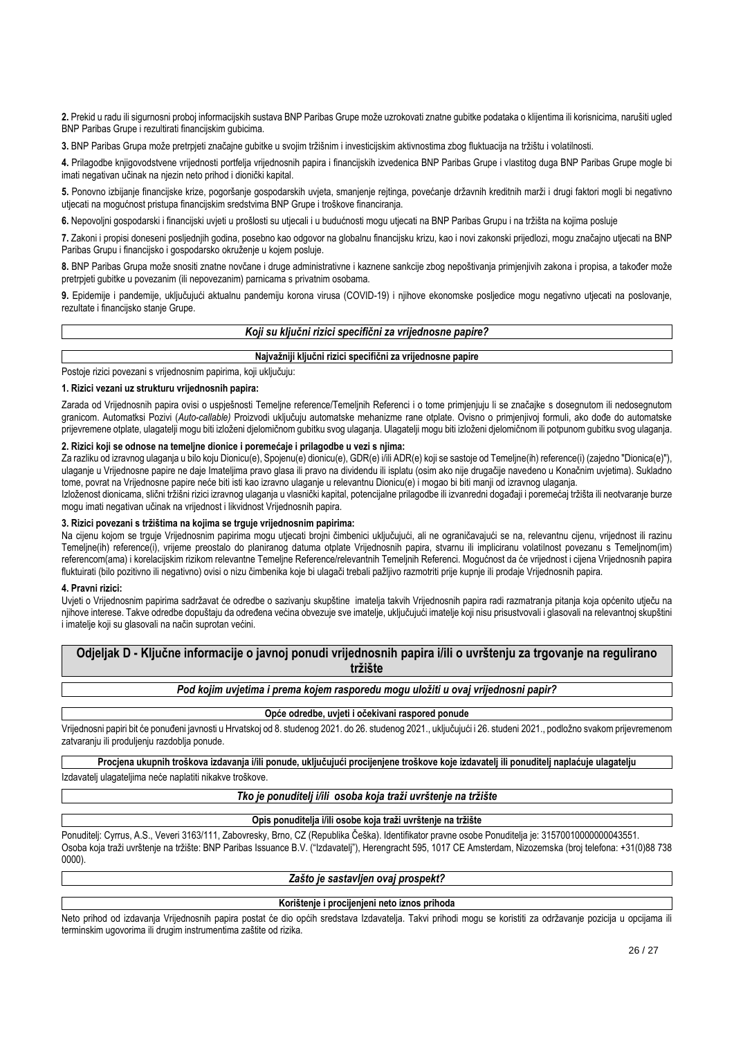**2.** Prekid u radu ili sigurnosni proboj informacijskih sustava BNP Paribas Grupe može uzrokovati znatne gubitke podataka o klijentima ili korisnicima, narušiti ugled BNP Paribas Grupe i rezultirati financijskim gubicima.

**3.** BNP Paribas Grupa može pretrpjeti značajne gubitke u svojim tržišnim i investicijskim aktivnostima zbog fluktuacija na tržištu i volatilnosti.

**4.** Prilagodbe knjigovodstvene vrijednosti portfelja vrijednosnih papira i financijskih izvedenica BNP Paribas Grupe i vlastitog duga BNP Paribas Grupe mogle bi imati negativan učinak na njezin neto prihod i dionički kapital.

**5.** Ponovno izbijanje financijske krize, pogoršanje gospodarskih uvjeta, smanjenje rejtinga, povećanje državnih kreditnih marži i drugi faktori mogli bi negativno utjecati na mogućnost pristupa financijskim sredstvima BNP Grupe i troškove financiranja.

**6.** Nepovoljni gospodarski i financijski uvjeti u prošlosti su utjecali i u budućnosti mogu utjecati na BNP Paribas Grupu i na tržišta na kojima posluje

**7.** Zakoni i propisi doneseni posljednjih godina, posebno kao odgovor na globalnu financijsku krizu, kao i novi zakonski prijedlozi, mogu značajno utjecati na BNP Paribas Grupu i financijsko i gospodarsko okruženje u kojem posluje.

**8.** BNP Paribas Grupa može snositi znatne novčane i druge administrativne i kaznene sankcije zbog nepoštivanja primjenjivih zakona i propisa, a također može pretrpjeti gubitke u povezanim (ili nepovezanim) parnicama s privatnim osobama.

**9.** Epidemije i pandemije, uključujući aktualnu pandemiju korona virusa (COVID-19) i njihove ekonomske posljedice mogu negativno utjecati na poslovanje, rezultate i financijsko stanje Grupe.

## *Koji su ključni rizici specifični za vrijednosne papire?*

| Najvažniji ključni rizici specifični za vrijednosne papire |  |
|------------------------------------------------------------|--|
|                                                            |  |

Postoje rizici povezani s vrijednosnim papirima, koji uključuju:

## **1. Rizici vezani uz strukturu vrijednosnih papira:**

Zarada od Vrijednosnih papira ovisi o uspješnosti Temeline reference/Temeljnih Referenci i o tome primjenjuju li se značajke s dosegnutom ili nedosegnutom granicom. Automatksi Pozivi (*Auto-callable)* Proizvodi uključuju automatske mehanizme rane otplate. Ovisno o primjenjivoj formuli, ako dođe do automatske prijevremene otplate, ulagatelji mogu biti izloženi djelomičnom gubitku svog ulaganja. Ulagatelji mogu biti izloženi djelomičnom ili potpunom gubitku svog ulaganja.

## **2. Rizici koji se odnose na temeljne dionice i poremećaje i prilagodbe u vezi s njima:**

Za razliku od izravnog ulaganja u bilo koju Dionicu(e), Spojenu(e) dionicu(e), GDR(e) i/ili ADR(e) koji se sastoje od Temeljne(ih) reference(i) (zajedno "Dionica(e)"), ulaganje u Vrijednosne papire ne daje Imateljima pravo glasa ili pravo na dividendu ili isplatu (osim ako nije drugačije navedeno u Konačnim uvjetima). Sukladno tome, povrat na Vrijednosne papire neće biti isti kao izravno ulaganje u relevantnu Dionicu(e) i mogao bi biti manji od izravnog ulaganja.

Izloženost dionicama, slični tržišni rizici izravnog ulaganja u vlasnički kapital, potencijalne prilagodbe ili izvanredni događaji i poremećaj tržišta ili neotvaranje burze mogu imati negativan učinak na vrijednost i likvidnost Vrijednosnih papira.

## **3. Rizici povezani s tržištima na kojima se trguje vrijednosnim papirima:**

Na cijenu kojom se trguje Vrijednosnim papirima mogu utjecati brojni čimbenici uključujući, ali ne ograničavajući se na, relevantnu cijenu, vrijednost ili razinu Temeljne(ih) reference(i), vrijeme preostalo do planiranog datuma otplate Vrijednosnih papira, stvarnu ili impliciranu volatilnost povezanu s Temeljnom(im) referencom(ama) i korelacijskim rizikom relevantne Temeljne Reference/relevantnih Temeljnih Referenci. Mogućnost da će vrijednost i cijena Vrijednosnih papira fluktuirati (bilo pozitivno ili negativno) ovisi o nizu čimbenika koje bi ulagači trebali pažljivo razmotriti prije kupnje ili prodaje Vrijednosnih papira.

#### **4. Pravni rizici:**

Uvjeti o Vrijednosnim papirima sadržavat će odredbe o sazivanju skupštine imatelja takvih Vrijednosnih papira radi razmatranja pitanja koja općenito utječu na njihove interese. Takve odredbe dopuštaju da određena većina obvezuje sve imatelje, uključujući imatelje koji nisu prisustvovali i glasovali na relevantnoj skupštini i imatelje koji su glasovali na način suprotan većini.

**Odjeljak D - Ključne informacije o javnoj ponudi vrijednosnih papira i/ili o uvrštenju za trgovanje na regulirano tržište**

*Pod kojim uvjetima i prema kojem rasporedu mogu uložiti u ovaj vrijednosni papir?*

#### **Opće odredbe, uvjeti i očekivani raspored ponude**

Vrijednosni papiri bit će ponuđeni javnosti u Hrvatskoj od 8. studenog 2021. do 26. studenog 2021., uključujući i 26. studeni 2021., podložno svakom prijevremenom zatvaranju ili produljenju razdoblja ponude.

**Procjena ukupnih troškova izdavanja i/ili ponude, uključujući procijenjene troškove koje izdavatelj ili ponuditelj naplaćuje ulagatelju**

Izdavatelj ulagateljima neće naplatiti nikakve troškove.

## *Tko je ponuditelj i/ili osoba koja traži uvrštenje na tržište*

#### **Opis ponuditelja i/ili osobe koja traži uvrštenje na tržište**

Ponuditelj: Cyrrus, A.S., Veveri 3163/111, Zabovresky, Brno, CZ (Republika Češka). Identifikator pravne osobe Ponuditelja je: 31570010000000043551. Osoba koja traži uvrštenje na tržište: BNP Paribas Issuance B.V. ("Izdavatelj"), Herengracht 595, 1017 CE Amsterdam, Nizozemska (broj telefona: +31(0)88 738 0000).

## *Zašto je sastavljen ovaj prospekt?*

#### **Korištenje i procijenjeni neto iznos prihoda**

Neto prihod od izdavanja Vrijednosnih papira postat će dio općih sredstava Izdavatelja. Takvi prihodi mogu se koristiti za održavanje pozicija u opcijama ili terminskim ugovorima ili drugim instrumentima zaštite od rizika.